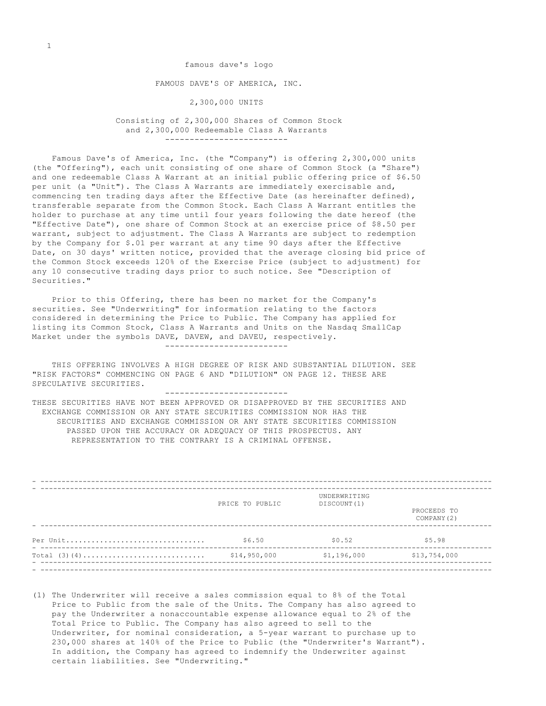famous dave's logo FAMOUS DAVE'S OF AMERICA, INC. 2,300,000 UNITS

 Consisting of 2,300,000 Shares of Common Stock and 2,300,000 Redeemable Class A Warrants -------------------------

 Famous Dave's of America, Inc. (the "Company") is offering 2,300,000 units (the "Offering"), each unit consisting of one share of Common Stock (a "Share") and one redeemable Class A Warrant at an initial public offering price of \$6.50 per unit (a "Unit"). The Class A Warrants are immediately exercisable and, commencing ten trading days after the Effective Date (as hereinafter defined), transferable separate from the Common Stock. Each Class A Warrant entitles the holder to purchase at any time until four years following the date hereof (the "Effective Date"), one share of Common Stock at an exercise price of \$8.50 per warrant, subject to adjustment. The Class A Warrants are subject to redemption by the Company for \$.01 per warrant at any time 90 days after the Effective Date, on 30 days' written notice, provided that the average closing bid price of the Common Stock exceeds 120% of the Exercise Price (subject to adjustment) for any 10 consecutive trading days prior to such notice. See "Description of Securities."

 Prior to this Offering, there has been no market for the Company's securities. See "Underwriting" for information relating to the factors considered in determining the Price to Public. The Company has applied for listing its Common Stock, Class A Warrants and Units on the Nasdaq SmallCap Market under the symbols DAVE, DAVEW, and DAVEU, respectively. -------------------------

 THIS OFFERING INVOLVES A HIGH DEGREE OF RISK AND SUBSTANTIAL DILUTION. SEE "RISK FACTORS" COMMENCING ON PAGE 6 AND "DILUTION" ON PAGE 12. THESE ARE SPECULATIVE SECURITIES.

-------------------------

THESE SECURITIES HAVE NOT BEEN APPROVED OR DISAPPROVED BY THE SECURITIES AND EXCHANGE COMMISSION OR ANY STATE SECURITIES COMMISSION NOR HAS THE SECURITIES AND EXCHANGE COMMISSION OR ANY STATE SECURITIES COMMISSION PASSED UPON THE ACCURACY OR ADEQUACY OF THIS PROSPECTUS. ANY REPRESENTATION TO THE CONTRARY IS A CRIMINAL OFFENSE.

|          | PRICE TO PUBLIC | UNDERWRITING<br>DISCOUNT (1) | PROCEEDS TO<br>COMPANY (2) |
|----------|-----------------|------------------------------|----------------------------|
| Per Unit | \$6.50          | \$0.52                       | \$5.98                     |
|          | \$14,950,000    | \$1,196,000                  | \$13,754,000               |

(1) The Underwriter will receive a sales commission equal to 8% of the Total Price to Public from the sale of the Units. The Company has also agreed to pay the Underwriter a nonaccountable expense allowance equal to 2% of the Total Price to Public. The Company has also agreed to sell to the Underwriter, for nominal consideration, a 5-year warrant to purchase up to 230,000 shares at 140% of the Price to Public (the "Underwriter's Warrant"). In addition, the Company has agreed to indemnify the Underwriter against certain liabilities. See "Underwriting."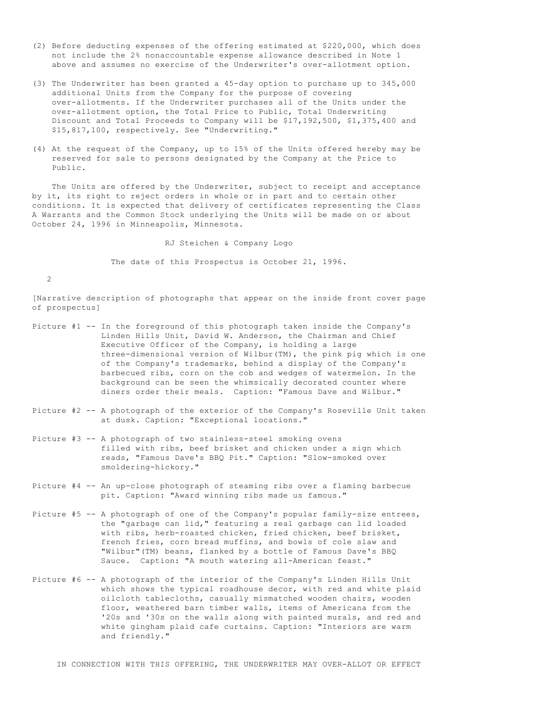- (2) Before deducting expenses of the offering estimated at \$220,000, which does not include the 2% nonaccountable expense allowance described in Note 1 above and assumes no exercise of the Underwriter's over-allotment option.
- (3) The Underwriter has been granted a 45-day option to purchase up to 345,000 additional Units from the Company for the purpose of covering over-allotments. If the Underwriter purchases all of the Units under the over-allotment option, the Total Price to Public, Total Underwriting Discount and Total Proceeds to Company will be \$17,192,500, \$1,375,400 and \$15,817,100, respectively. See "Underwriting."
- (4) At the request of the Company, up to 15% of the Units offered hereby may be reserved for sale to persons designated by the Company at the Price to Public.

 The Units are offered by the Underwriter, subject to receipt and acceptance by it, its right to reject orders in whole or in part and to certain other conditions. It is expected that delivery of certificates representing the Class A Warrants and the Common Stock underlying the Units will be made on or about October 24, 1996 in Minneapolis, Minnesota.

RJ Steichen & Company Logo

The date of this Prospectus is October 21, 1996.

2

[Narrative description of photographs that appear on the inside front cover page of prospectus]

- Picture #1 -- In the foreground of this photograph taken inside the Company's Linden Hills Unit, David W. Anderson, the Chairman and Chief Executive Officer of the Company, is holding a large three-dimensional version of Wilbur(TM), the pink pig which is one of the Company's trademarks, behind a display of the Company's barbecued ribs, corn on the cob and wedges of watermelon. In the background can be seen the whimsically decorated counter where diners order their meals. Caption: "Famous Dave and Wilbur."
- Picture #2 -- A photograph of the exterior of the Company's Roseville Unit taken at dusk. Caption: "Exceptional locations."
- Picture #3 -- A photograph of two stainless-steel smoking ovens filled with ribs, beef brisket and chicken under a sign which reads, "Famous Dave's BBQ Pit." Caption: "Slow-smoked over smoldering-hickory."
- Picture #4 -- An up-close photograph of steaming ribs over a flaming barbecue pit. Caption: "Award winning ribs made us famous."
- Picture #5 -- A photograph of one of the Company's popular family-size entrees, the "garbage can lid," featuring a real garbage can lid loaded with ribs, herb-roasted chicken, fried chicken, beef brisket, french fries, corn bread muffins, and bowls of cole slaw and "Wilbur"(TM) beans, flanked by a bottle of Famous Dave's BBQ Sauce. Caption: "A mouth watering all-American feast."
- Picture #6 -- A photograph of the interior of the Company's Linden Hills Unit which shows the typical roadhouse decor, with red and white plaid oilcloth tablecloths, casually mismatched wooden chairs, wooden floor, weathered barn timber walls, items of Americana from the '20s and '30s on the walls along with painted murals, and red and white gingham plaid cafe curtains. Caption: "Interiors are warm and friendly."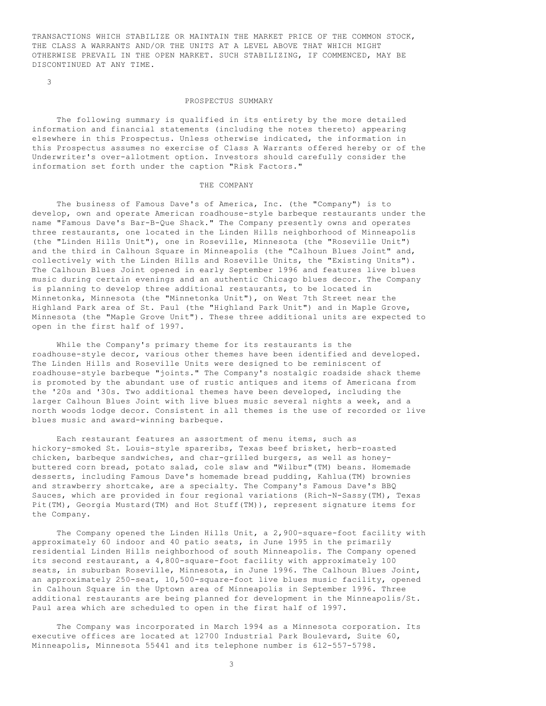TRANSACTIONS WHICH STABILIZE OR MAINTAIN THE MARKET PRICE OF THE COMMON STOCK, THE CLASS A WARRANTS AND/OR THE UNITS AT A LEVEL ABOVE THAT WHICH MIGHT OTHERWISE PREVAIL IN THE OPEN MARKET. SUCH STABILIZING, IF COMMENCED, MAY BE DISCONTINUED AT ANY TIME.

3

#### PROSPECTUS SUMMARY

 The following summary is qualified in its entirety by the more detailed information and financial statements (including the notes thereto) appearing elsewhere in this Prospectus. Unless otherwise indicated, the information in this Prospectus assumes no exercise of Class A Warrants offered hereby or of the Underwriter's over-allotment option. Investors should carefully consider the information set forth under the caption "Risk Factors."

## THE COMPANY

 The business of Famous Dave's of America, Inc. (the "Company") is to develop, own and operate American roadhouse-style barbeque restaurants under the name "Famous Dave's Bar-B-Que Shack." The Company presently owns and operates three restaurants, one located in the Linden Hills neighborhood of Minneapolis (the "Linden Hills Unit"), one in Roseville, Minnesota (the "Roseville Unit") and the third in Calhoun Square in Minneapolis (the "Calhoun Blues Joint" and, collectively with the Linden Hills and Roseville Units, the "Existing Units"). The Calhoun Blues Joint opened in early September 1996 and features live blues music during certain evenings and an authentic Chicago blues decor. The Company is planning to develop three additional restaurants, to be located in Minnetonka, Minnesota (the "Minnetonka Unit"), on West 7th Street near the Highland Park area of St. Paul (the "Highland Park Unit") and in Maple Grove, Minnesota (the "Maple Grove Unit"). These three additional units are expected to open in the first half of 1997.

 While the Company's primary theme for its restaurants is the roadhouse-style decor, various other themes have been identified and developed. The Linden Hills and Roseville Units were designed to be reminiscent of roadhouse-style barbeque "joints." The Company's nostalgic roadside shack theme is promoted by the abundant use of rustic antiques and items of Americana from the '20s and '30s. Two additional themes have been developed, including the larger Calhoun Blues Joint with live blues music several nights a week, and a north woods lodge decor. Consistent in all themes is the use of recorded or live blues music and award-winning barbeque.

 Each restaurant features an assortment of menu items, such as hickory-smoked St. Louis-style spareribs, Texas beef brisket, herb-roasted chicken, barbeque sandwiches, and char-grilled burgers, as well as honeybuttered corn bread, potato salad, cole slaw and "Wilbur"(TM) beans. Homemade desserts, including Famous Dave's homemade bread pudding, Kahlua(TM) brownies and strawberry shortcake, are a specialty. The Company's Famous Dave's BBQ Sauces, which are provided in four regional variations (Rich-N-Sassy(TM), Texas Pit(TM), Georgia Mustard(TM) and Hot Stuff(TM)), represent signature items for the Company.

 The Company opened the Linden Hills Unit, a 2,900-square-foot facility with approximately 60 indoor and 40 patio seats, in June 1995 in the primarily residential Linden Hills neighborhood of south Minneapolis. The Company opened its second restaurant, a 4,800-square-foot facility with approximately 100 seats, in suburban Roseville, Minnesota, in June 1996. The Calhoun Blues Joint, an approximately 250-seat, 10,500-square-foot live blues music facility, opened in Calhoun Square in the Uptown area of Minneapolis in September 1996. Three additional restaurants are being planned for development in the Minneapolis/St. Paul area which are scheduled to open in the first half of 1997.

 The Company was incorporated in March 1994 as a Minnesota corporation. Its executive offices are located at 12700 Industrial Park Boulevard, Suite 60, Minneapolis, Minnesota 55441 and its telephone number is 612-557-5798.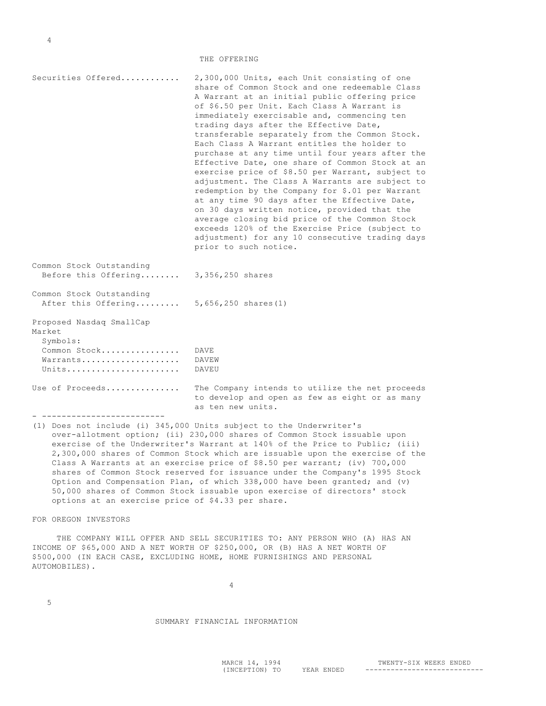| Securities Offered                                                                  | 2,300,000 Units, each Unit consisting of one<br>share of Common Stock and one redeemable Class<br>A Warrant at an initial public offering price<br>of \$6.50 per Unit. Each Class A Warrant is<br>immediately exercisable and, commencing ten<br>trading days after the Effective Date,<br>transferable separately from the Common Stock.<br>Each Class A Warrant entitles the holder to<br>purchase at any time until four years after the<br>Effective Date, one share of Common Stock at an<br>exercise price of \$8.50 per Warrant, subject to<br>adjustment. The Class A Warrants are subject to<br>redemption by the Company for \$.01 per Warrant<br>at any time 90 days after the Effective Date,<br>on 30 days written notice, provided that the<br>average closing bid price of the Common Stock<br>exceeds 120% of the Exercise Price (subject to<br>adjustment) for any 10 consecutive trading days<br>prior to such notice. |
|-------------------------------------------------------------------------------------|------------------------------------------------------------------------------------------------------------------------------------------------------------------------------------------------------------------------------------------------------------------------------------------------------------------------------------------------------------------------------------------------------------------------------------------------------------------------------------------------------------------------------------------------------------------------------------------------------------------------------------------------------------------------------------------------------------------------------------------------------------------------------------------------------------------------------------------------------------------------------------------------------------------------------------------|
| Common Stock Outstanding<br>Before this Offering                                    | 3,356,250 shares                                                                                                                                                                                                                                                                                                                                                                                                                                                                                                                                                                                                                                                                                                                                                                                                                                                                                                                         |
| Common Stock Outstanding<br>After this Offering                                     | $5,656,250$ shares $(1)$                                                                                                                                                                                                                                                                                                                                                                                                                                                                                                                                                                                                                                                                                                                                                                                                                                                                                                                 |
| Proposed Nasdaq SmallCap<br>Market<br>Symbols:<br>Common Stock<br>Warrants<br>Units | <b>DAVE</b><br>DAVEW<br>DAVEU                                                                                                                                                                                                                                                                                                                                                                                                                                                                                                                                                                                                                                                                                                                                                                                                                                                                                                            |
| Use of Proceeds                                                                     | The Company intends to utilize the net proceeds<br>to develop and open as few as eight or as many<br>as ten new units.                                                                                                                                                                                                                                                                                                                                                                                                                                                                                                                                                                                                                                                                                                                                                                                                                   |

(1) Does not include (i) 345,000 Units subject to the Underwriter's over-allotment option; (ii) 230,000 shares of Common Stock issuable upon exercise of the Underwriter's Warrant at 140% of the Price to Public; (iii) 2,300,000 shares of Common Stock which are issuable upon the exercise of the Class A Warrants at an exercise price of \$8.50 per warrant; (iv) 700,000 shares of Common Stock reserved for issuance under the Company's 1995 Stock Option and Compensation Plan, of which 338,000 have been granted; and (v) 50,000 shares of Common Stock issuable upon exercise of directors' stock options at an exercise price of \$4.33 per share.

FOR OREGON INVESTORS

4

 THE COMPANY WILL OFFER AND SELL SECURITIES TO: ANY PERSON WHO (A) HAS AN INCOME OF \$65,000 AND A NET WORTH OF \$250,000, OR (B) HAS A NET WORTH OF \$500,000 (IN EACH CASE, EXCLUDING HOME, HOME FURNISHINGS AND PERSONAL AUTOMOBILES).

5

#### SUMMARY FINANCIAL INFORMATION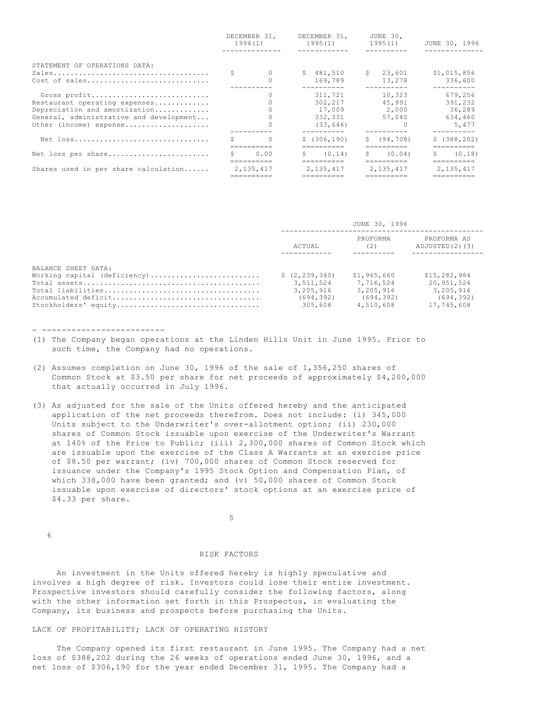|                                                                                                                                                     | DECEMBER 31.<br>1994(1) |                          | DECEMBER 31.<br>1995(1) |                                                      | JUNE 30.<br>1995(1) |                                                 | JUNE 30, 1996 |                                                                            |
|-----------------------------------------------------------------------------------------------------------------------------------------------------|-------------------------|--------------------------|-------------------------|------------------------------------------------------|---------------------|-------------------------------------------------|---------------|----------------------------------------------------------------------------|
| STATEMENT OF OPERATIONS DATA:<br>Cost of sales                                                                                                      |                         | $\Omega$                 |                         | \$481,510<br>169.789                                 |                     | \$23,601<br>13,278                              |               | \$1,015,856<br>336,600                                                     |
| Gross profit<br>Restaurant operating expenses<br>Depreciation and amortization<br>General, administrative and development<br>Other (income) expense |                         |                          |                         | 311,721<br>302,217<br>17,009<br>332,331<br>(33, 646) |                     | 10,323<br>45,991<br>2,000<br>57,040<br>$\Omega$ |               | ---------<br>679,256<br>391,232<br>36,289<br>634,460<br>5,477<br>--------- |
| Net loss                                                                                                                                            | S.                      | $\bigcirc$<br>========== |                         | \$(306, 190)<br>==========                           |                     | \$ (94, 708)<br>==========                      |               | \$(388, 202)<br>==========                                                 |
| Net loss per share                                                                                                                                  | S.                      | 0.00                     | S.                      | (0.14)<br>==========                                 |                     | $S \qquad (0.04)$<br>==========                 | S.            | (0.18)<br>==========                                                       |
| Shares used in per share calculation                                                                                                                | 2,135,417               |                          | 2,135,417               |                                                      | 2.135.417           |                                                 | 2, 135, 417   |                                                                            |

|                      |                 | JUNE 30, 1996   |                               |  |  |
|----------------------|-----------------|-----------------|-------------------------------|--|--|
|                      | ACTUAL          | PROFORMA<br>(2) | PROFORMA AS<br>ADJUSTED(2)(3) |  |  |
| BALANCE SHEET DATA:  |                 |                 |                               |  |  |
|                      | \$(2, 239, 340) | \$1,965,660     | \$15,282,984                  |  |  |
|                      | 3,511,524       | 7.716.524       | 20,951,524                    |  |  |
|                      | 3,205,916       | 3,205,916       | 3.205.916                     |  |  |
|                      | (694, 392)      | (694.392)       | (694, 392)                    |  |  |
| Stockholders' equity | 305,608         | 4,510,608       | 17,745,608                    |  |  |

- -------------------------

- (1) The Company began operations at the Linden Hills Unit in June 1995. Prior to such time, the Company had no operations.
- (2) Assumes completion on June 30, 1996 of the sale of 1,356,250 shares of Common Stock at \$3.50 per share for net proceeds of approximately \$4,200,000 that actually occurred in July 1996.
- (3) As adjusted for the sale of the Units offered hereby and the anticipated application of the net proceeds therefrom. Does not include: (i) 345,000 Units subject to the Underwriter's over-allotment option; (ii) 230,000 shares of Common Stock issuable upon exercise of the Underwriter's Warrant at 140% of the Price to Public; (iii) 2,300,000 shares of Common Stock which are issuable upon the exercise of the Class A Warrants at an exercise price of \$8.50 per warrant; (iv) 700,000 shares of Common Stock reserved for issuance under the Company's 1995 Stock Option and Compensation Plan, of which 338,000 have been granted; and (v) 50,000 shares of Common Stock issuable upon exercise of directors' stock options at an exercise price of \$4.33 per share.

 $\sim$  5

6

#### RISK FACTORS

 An investment in the Units offered hereby is highly speculative and involves a high degree of risk. Investors could lose their entire investment. Prospective investors should carefully consider the following factors, along with the other information set forth in this Prospectus, in evaluating the Company, its business and prospects before purchasing the Units.

# LACK OF PROFITABILITY; LACK OF OPERATING HISTORY

 The Company opened its first restaurant in June 1995. The Company had a net loss of \$388,202 during the 26 weeks of operations ended June 30, 1996, and a net loss of \$306,190 for the year ended December 31, 1995. The Company had a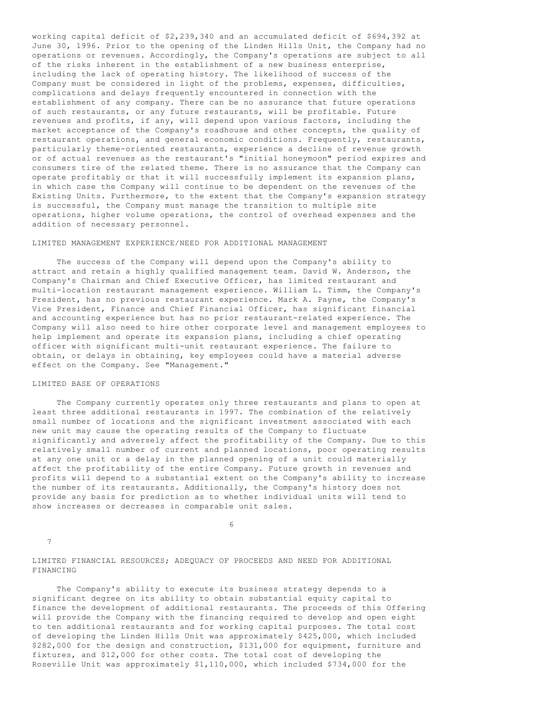working capital deficit of \$2,239,340 and an accumulated deficit of \$694,392 at June 30, 1996. Prior to the opening of the Linden Hills Unit, the Company had no operations or revenues. Accordingly, the Company's operations are subject to all of the risks inherent in the establishment of a new business enterprise, including the lack of operating history. The likelihood of success of the Company must be considered in light of the problems, expenses, difficulties, complications and delays frequently encountered in connection with the establishment of any company. There can be no assurance that future operations of such restaurants, or any future restaurants, will be profitable. Future revenues and profits, if any, will depend upon various factors, including the market acceptance of the Company's roadhouse and other concepts, the quality of restaurant operations, and general economic conditions. Frequently, restaurants, particularly theme-oriented restaurants, experience a decline of revenue growth or of actual revenues as the restaurant's "initial honeymoon" period expires and consumers tire of the related theme. There is no assurance that the Company can operate profitably or that it will successfully implement its expansion plans, in which case the Company will continue to be dependent on the revenues of the Existing Units. Furthermore, to the extent that the Company's expansion strategy is successful, the Company must manage the transition to multiple site operations, higher volume operations, the control of overhead expenses and the addition of necessary personnel.

# LIMITED MANAGEMENT EXPERIENCE/NEED FOR ADDITIONAL MANAGEMENT

 The success of the Company will depend upon the Company's ability to attract and retain a highly qualified management team. David W. Anderson, the Company's Chairman and Chief Executive Officer, has limited restaurant and multi-location restaurant management experience. William L. Timm, the Company's President, has no previous restaurant experience. Mark A. Payne, the Company's Vice President, Finance and Chief Financial Officer, has significant financial and accounting experience but has no prior restaurant-related experience. The Company will also need to hire other corporate level and management employees to help implement and operate its expansion plans, including a chief operating officer with significant multi-unit restaurant experience. The failure to obtain, or delays in obtaining, key employees could have a material adverse effect on the Company. See "Management."

# LIMITED BASE OF OPERATIONS

 The Company currently operates only three restaurants and plans to open at least three additional restaurants in 1997. The combination of the relatively small number of locations and the significant investment associated with each new unit may cause the operating results of the Company to fluctuate significantly and adversely affect the profitability of the Company. Due to this relatively small number of current and planned locations, poor operating results at any one unit or a delay in the planned opening of a unit could materially affect the profitability of the entire Company. Future growth in revenues and profits will depend to a substantial extent on the Company's ability to increase the number of its restaurants. Additionally, the Company's history does not provide any basis for prediction as to whether individual units will tend to show increases or decreases in comparable unit sales.

 $\sim$  6

7

LIMITED FINANCIAL RESOURCES; ADEQUACY OF PROCEEDS AND NEED FOR ADDITIONAL FINANCING

 The Company's ability to execute its business strategy depends to a significant degree on its ability to obtain substantial equity capital to finance the development of additional restaurants. The proceeds of this Offering will provide the Company with the financing required to develop and open eight to ten additional restaurants and for working capital purposes. The total cost of developing the Linden Hills Unit was approximately \$425,000, which included \$282,000 for the design and construction, \$131,000 for equipment, furniture and fixtures, and \$12,000 for other costs. The total cost of developing the Roseville Unit was approximately \$1,110,000, which included \$734,000 for the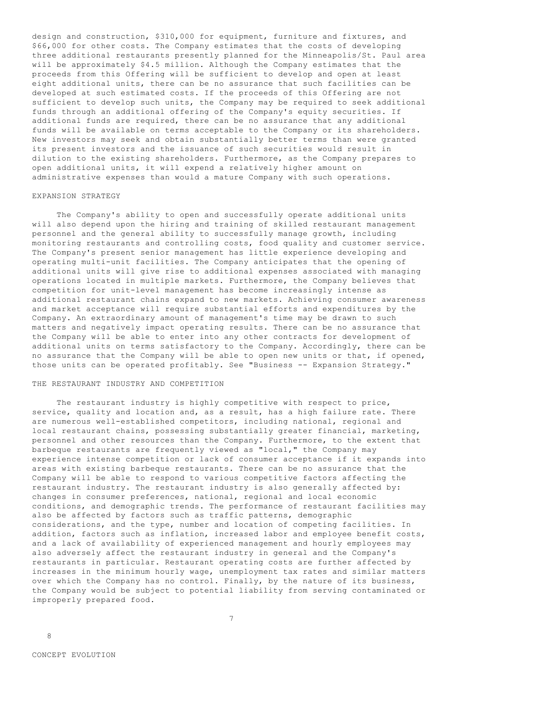design and construction, \$310,000 for equipment, furniture and fixtures, and \$66,000 for other costs. The Company estimates that the costs of developing three additional restaurants presently planned for the Minneapolis/St. Paul area will be approximately \$4.5 million. Although the Company estimates that the proceeds from this Offering will be sufficient to develop and open at least eight additional units, there can be no assurance that such facilities can be developed at such estimated costs. If the proceeds of this Offering are not sufficient to develop such units, the Company may be required to seek additional funds through an additional offering of the Company's equity securities. If additional funds are required, there can be no assurance that any additional funds will be available on terms acceptable to the Company or its shareholders. New investors may seek and obtain substantially better terms than were granted its present investors and the issuance of such securities would result in dilution to the existing shareholders. Furthermore, as the Company prepares to open additional units, it will expend a relatively higher amount on administrative expenses than would a mature Company with such operations.

# EXPANSION STRATEGY

 The Company's ability to open and successfully operate additional units will also depend upon the hiring and training of skilled restaurant management personnel and the general ability to successfully manage growth, including monitoring restaurants and controlling costs, food quality and customer service. The Company's present senior management has little experience developing and operating multi-unit facilities. The Company anticipates that the opening of additional units will give rise to additional expenses associated with managing operations located in multiple markets. Furthermore, the Company believes that competition for unit-level management has become increasingly intense as additional restaurant chains expand to new markets. Achieving consumer awareness and market acceptance will require substantial efforts and expenditures by the Company. An extraordinary amount of management's time may be drawn to such matters and negatively impact operating results. There can be no assurance that the Company will be able to enter into any other contracts for development of additional units on terms satisfactory to the Company. Accordingly, there can be no assurance that the Company will be able to open new units or that, if opened, those units can be operated profitably. See "Business -- Expansion Strategy."

#### THE RESTAURANT INDUSTRY AND COMPETITION

 The restaurant industry is highly competitive with respect to price, service, quality and location and, as a result, has a high failure rate. There are numerous well-established competitors, including national, regional and local restaurant chains, possessing substantially greater financial, marketing, personnel and other resources than the Company. Furthermore, to the extent that barbeque restaurants are frequently viewed as "local," the Company may experience intense competition or lack of consumer acceptance if it expands into areas with existing barbeque restaurants. There can be no assurance that the Company will be able to respond to various competitive factors affecting the restaurant industry. The restaurant industry is also generally affected by: changes in consumer preferences, national, regional and local economic conditions, and demographic trends. The performance of restaurant facilities may also be affected by factors such as traffic patterns, demographic considerations, and the type, number and location of competing facilities. In addition, factors such as inflation, increased labor and employee benefit costs, and a lack of availability of experienced management and hourly employees may also adversely affect the restaurant industry in general and the Company's restaurants in particular. Restaurant operating costs are further affected by increases in the minimum hourly wage, unemployment tax rates and similar matters over which the Company has no control. Finally, by the nature of its business, the Company would be subject to potential liability from serving contaminated or improperly prepared food.

8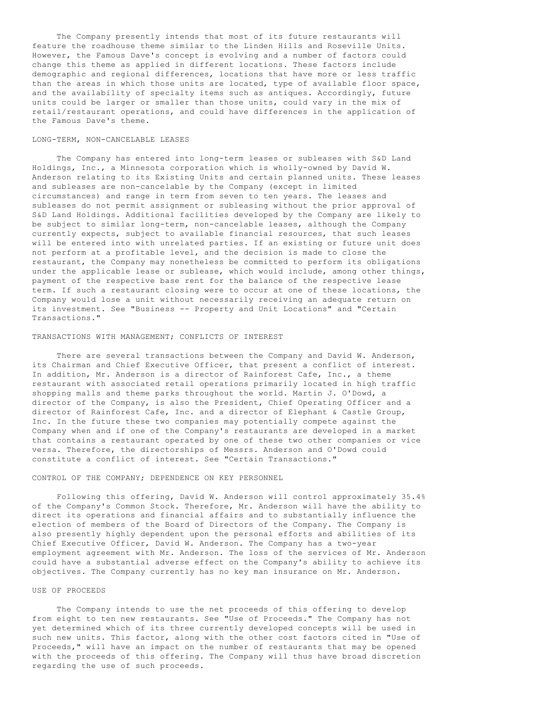The Company presently intends that most of its future restaurants will feature the roadhouse theme similar to the Linden Hills and Roseville Units. However, the Famous Dave's concept is evolving and a number of factors could change this theme as applied in different locations. These factors include demographic and regional differences, locations that have more or less traffic than the areas in which those units are located, type of available floor space, and the availability of specialty items such as antiques. Accordingly, future units could be larger or smaller than those units, could vary in the mix of retail/restaurant operations, and could have differences in the application of the Famous Dave's theme.

## LONG-TERM, NON-CANCELABLE LEASES

 The Company has entered into long-term leases or subleases with S&D Land Holdings, Inc., a Minnesota corporation which is wholly-owned by David W. Anderson relating to its Existing Units and certain planned units. These leases and subleases are non-cancelable by the Company (except in limited circumstances) and range in term from seven to ten years. The leases and subleases do not permit assignment or subleasing without the prior approval of S&D Land Holdings. Additional facilities developed by the Company are likely to be subject to similar long-term, non-cancelable leases, although the Company currently expects, subject to available financial resources, that such leases will be entered into with unrelated parties. If an existing or future unit does not perform at a profitable level, and the decision is made to close the restaurant, the Company may nonetheless be committed to perform its obligations under the applicable lease or sublease, which would include, among other things, payment of the respective base rent for the balance of the respective lease term. If such a restaurant closing were to occur at one of these locations, the Company would lose a unit without necessarily receiving an adequate return on its investment. See "Business -- Property and Unit Locations" and "Certain Transactions."

## TRANSACTIONS WITH MANAGEMENT; CONFLICTS OF INTEREST

 There are several transactions between the Company and David W. Anderson, its Chairman and Chief Executive Officer, that present a conflict of interest. In addition, Mr. Anderson is a director of Rainforest Cafe, Inc., a theme restaurant with associated retail operations primarily located in high traffic shopping malls and theme parks throughout the world. Martin J. O'Dowd, a director of the Company, is also the President, Chief Operating Officer and a director of Rainforest Cafe, Inc. and a director of Elephant & Castle Group, Inc. In the future these two companies may potentially compete against the Company when and if one of the Company's restaurants are developed in a market that contains a restaurant operated by one of these two other companies or vice versa. Therefore, the directorships of Messrs. Anderson and O'Dowd could constitute a conflict of interest. See "Certain Transactions."

#### CONTROL OF THE COMPANY; DEPENDENCE ON KEY PERSONNEL

 Following this offering, David W. Anderson will control approximately 35.4% of the Company's Common Stock. Therefore, Mr. Anderson will have the ability to direct its operations and financial affairs and to substantially influence the election of members of the Board of Directors of the Company. The Company is also presently highly dependent upon the personal efforts and abilities of its Chief Executive Officer, David W. Anderson. The Company has a two-year employment agreement with Mr. Anderson. The loss of the services of Mr. Anderson could have a substantial adverse effect on the Company's ability to achieve its objectives. The Company currently has no key man insurance on Mr. Anderson.

#### USE OF PROCEEDS

 The Company intends to use the net proceeds of this offering to develop from eight to ten new restaurants. See "Use of Proceeds." The Company has not yet determined which of its three currently developed concepts will be used in such new units. This factor, along with the other cost factors cited in "Use of Proceeds," will have an impact on the number of restaurants that may be opened with the proceeds of this offering. The Company will thus have broad discretion regarding the use of such proceeds.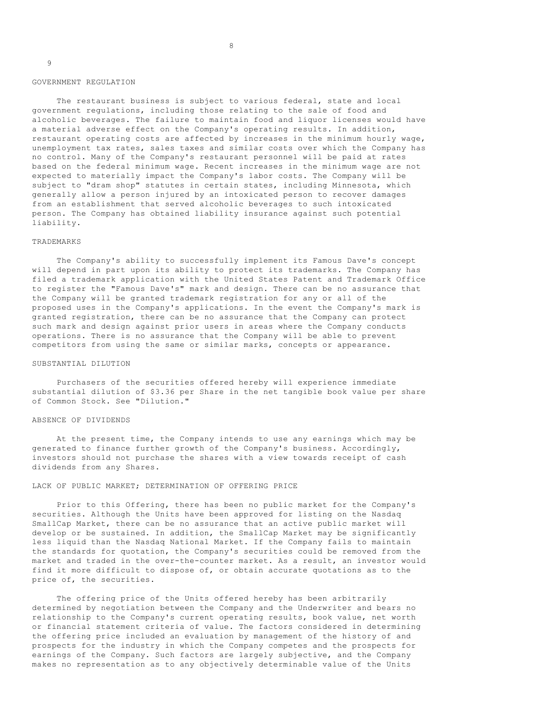9

 The restaurant business is subject to various federal, state and local government regulations, including those relating to the sale of food and alcoholic beverages. The failure to maintain food and liquor licenses would have a material adverse effect on the Company's operating results. In addition, restaurant operating costs are affected by increases in the minimum hourly wage, unemployment tax rates, sales taxes and similar costs over which the Company has no control. Many of the Company's restaurant personnel will be paid at rates based on the federal minimum wage. Recent increases in the minimum wage are not expected to materially impact the Company's labor costs. The Company will be subject to "dram shop" statutes in certain states, including Minnesota, which generally allow a person injured by an intoxicated person to recover damages from an establishment that served alcoholic beverages to such intoxicated person. The Company has obtained liability insurance against such potential liability.

# TRADEMARKS

 The Company's ability to successfully implement its Famous Dave's concept will depend in part upon its ability to protect its trademarks. The Company has filed a trademark application with the United States Patent and Trademark Office to register the "Famous Dave's" mark and design. There can be no assurance that the Company will be granted trademark registration for any or all of the proposed uses in the Company's applications. In the event the Company's mark is granted registration, there can be no assurance that the Company can protect such mark and design against prior users in areas where the Company conducts operations. There is no assurance that the Company will be able to prevent competitors from using the same or similar marks, concepts or appearance.

# SUBSTANTIAL DILUTION

 Purchasers of the securities offered hereby will experience immediate substantial dilution of \$3.36 per Share in the net tangible book value per share of Common Stock. See "Dilution."

## ABSENCE OF DIVIDENDS

 At the present time, the Company intends to use any earnings which may be generated to finance further growth of the Company's business. Accordingly, investors should not purchase the shares with a view towards receipt of cash dividends from any Shares.

# LACK OF PUBLIC MARKET; DETERMINATION OF OFFERING PRICE

 Prior to this Offering, there has been no public market for the Company's securities. Although the Units have been approved for listing on the Nasdaq SmallCap Market, there can be no assurance that an active public market will develop or be sustained. In addition, the SmallCap Market may be significantly less liquid than the Nasdaq National Market. If the Company fails to maintain the standards for quotation, the Company's securities could be removed from the market and traded in the over-the-counter market. As a result, an investor would find it more difficult to dispose of, or obtain accurate quotations as to the price of, the securities.

 The offering price of the Units offered hereby has been arbitrarily determined by negotiation between the Company and the Underwriter and bears no relationship to the Company's current operating results, book value, net worth or financial statement criteria of value. The factors considered in determining the offering price included an evaluation by management of the history of and prospects for the industry in which the Company competes and the prospects for earnings of the Company. Such factors are largely subjective, and the Company makes no representation as to any objectively determinable value of the Units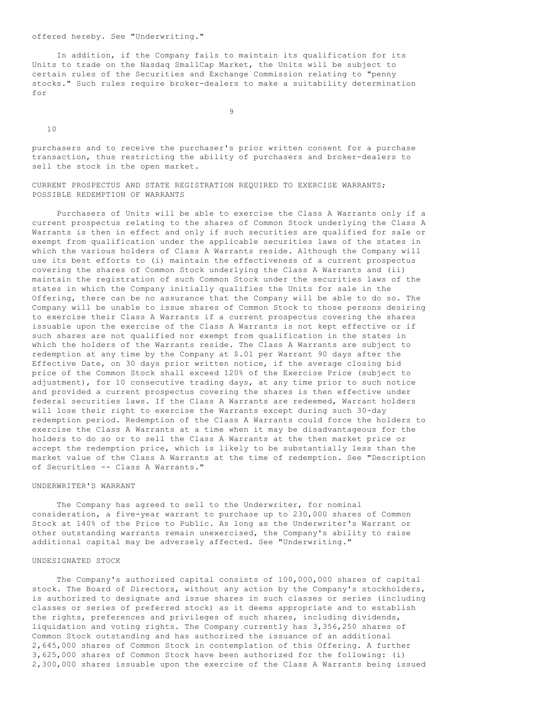In addition, if the Company fails to maintain its qualification for its Units to trade on the Nasdaq SmallCap Market, the Units will be subject to certain rules of the Securities and Exchange Commission relating to "penny stocks." Such rules require broker-dealers to make a suitability determination for

9

10

purchasers and to receive the purchaser's prior written consent for a purchase transaction, thus restricting the ability of purchasers and broker-dealers to sell the stock in the open market.

CURRENT PROSPECTUS AND STATE REGISTRATION REQUIRED TO EXERCISE WARRANTS; POSSIBLE REDEMPTION OF WARRANTS

 Purchasers of Units will be able to exercise the Class A Warrants only if a current prospectus relating to the shares of Common Stock underlying the Class A Warrants is then in effect and only if such securities are qualified for sale or exempt from qualification under the applicable securities laws of the states in which the various holders of Class A Warrants reside. Although the Company will use its best efforts to (i) maintain the effectiveness of a current prospectus covering the shares of Common Stock underlying the Class A Warrants and (ii) maintain the registration of such Common Stock under the securities laws of the states in which the Company initially qualifies the Units for sale in the Offering, there can be no assurance that the Company will be able to do so. The Company will be unable to issue shares of Common Stock to those persons desiring to exercise their Class A Warrants if a current prospectus covering the shares issuable upon the exercise of the Class A Warrants is not kept effective or if such shares are not qualified nor exempt from qualification in the states in which the holders of the Warrants reside. The Class A Warrants are subject to redemption at any time by the Company at \$.01 per Warrant 90 days after the Effective Date, on 30 days prior written notice, if the average closing bid price of the Common Stock shall exceed 120% of the Exercise Price (subject to adjustment), for 10 consecutive trading days, at any time prior to such notice and provided a current prospectus covering the shares is then effective under federal securities laws. If the Class A Warrants are redeemed, Warrant holders will lose their right to exercise the Warrants except during such 30-day redemption period. Redemption of the Class A Warrants could force the holders to exercise the Class A Warrants at a time when it may be disadvantageous for the holders to do so or to sell the Class A Warrants at the then market price or accept the redemption price, which is likely to be substantially less than the market value of the Class A Warrants at the time of redemption. See "Description of Securities -- Class A Warrants."

# UNDERWRITER'S WARRANT

The Company has agreed to sell to the Underwriter, for nominal consideration, a five-year warrant to purchase up to 230,000 shares of Common Stock at 140% of the Price to Public. As long as the Underwriter's Warrant or other outstanding warrants remain unexercised, the Company's ability to raise additional capital may be adversely affected. See "Underwriting."

#### UNDESIGNATED STOCK

 The Company's authorized capital consists of 100,000,000 shares of capital stock. The Board of Directors, without any action by the Company's stockholders, is authorized to designate and issue shares in such classes or series (including classes or series of preferred stock) as it deems appropriate and to establish the rights, preferences and privileges of such shares, including dividends, liquidation and voting rights. The Company currently has 3,356,250 shares of Common Stock outstanding and has authorized the issuance of an additional 2,645,000 shares of Common Stock in contemplation of this Offering. A further 3,625,000 shares of Common Stock have been authorized for the following: (i) 2,300,000 shares issuable upon the exercise of the Class A Warrants being issued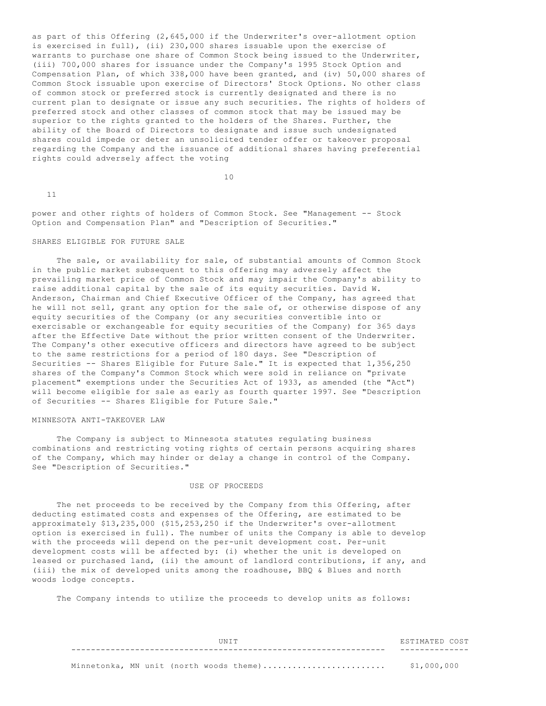as part of this Offering (2,645,000 if the Underwriter's over-allotment option is exercised in full), (ii) 230,000 shares issuable upon the exercise of warrants to purchase one share of Common Stock being issued to the Underwriter, (iii) 700,000 shares for issuance under the Company's 1995 Stock Option and Compensation Plan, of which 338,000 have been granted, and (iv) 50,000 shares of Common Stock issuable upon exercise of Directors' Stock Options. No other class of common stock or preferred stock is currently designated and there is no current plan to designate or issue any such securities. The rights of holders of preferred stock and other classes of common stock that may be issued may be superior to the rights granted to the holders of the Shares. Further, the ability of the Board of Directors to designate and issue such undesignated shares could impede or deter an unsolicited tender offer or takeover proposal regarding the Company and the issuance of additional shares having preferential rights could adversely affect the voting

10

11

power and other rights of holders of Common Stock. See "Management -- Stock Option and Compensation Plan" and "Description of Securities."

#### SHARES ELIGIBLE FOR FUTURE SALE

 The sale, or availability for sale, of substantial amounts of Common Stock in the public market subsequent to this offering may adversely affect the prevailing market price of Common Stock and may impair the Company's ability to raise additional capital by the sale of its equity securities. David W. Anderson, Chairman and Chief Executive Officer of the Company, has agreed that he will not sell, grant any option for the sale of, or otherwise dispose of any equity securities of the Company (or any securities convertible into or exercisable or exchangeable for equity securities of the Company) for 365 days after the Effective Date without the prior written consent of the Underwriter. The Company's other executive officers and directors have agreed to be subject to the same restrictions for a period of 180 days. See "Description of Securities -- Shares Eligible for Future Sale." It is expected that 1,356,250 shares of the Company's Common Stock which were sold in reliance on "private placement" exemptions under the Securities Act of 1933, as amended (the "Act") will become eligible for sale as early as fourth quarter 1997. See "Description of Securities -- Shares Eligible for Future Sale."

## MINNESOTA ANTI-TAKEOVER LAW

 The Company is subject to Minnesota statutes regulating business combinations and restricting voting rights of certain persons acquiring shares of the Company, which may hinder or delay a change in control of the Company. See "Description of Securities."

## USE OF PROCEEDS

 The net proceeds to be received by the Company from this Offering, after deducting estimated costs and expenses of the Offering, are estimated to be approximately \$13,235,000 (\$15,253,250 if the Underwriter's over-allotment option is exercised in full). The number of units the Company is able to develop with the proceeds will depend on the per-unit development cost. Per-unit development costs will be affected by: (i) whether the unit is developed on leased or purchased land, (ii) the amount of landlord contributions, if any, and (iii) the mix of developed units among the roadhouse, BBQ & Blues and north woods lodge concepts.

The Company intends to utilize the proceeds to develop units as follows:

|  |  | TIN T T |                                         | ESTIMATED COST |  |
|--|--|---------|-----------------------------------------|----------------|--|
|  |  |         |                                         |                |  |
|  |  |         | Minnetonka, MN unit (north woods theme) | \$1,000,000    |  |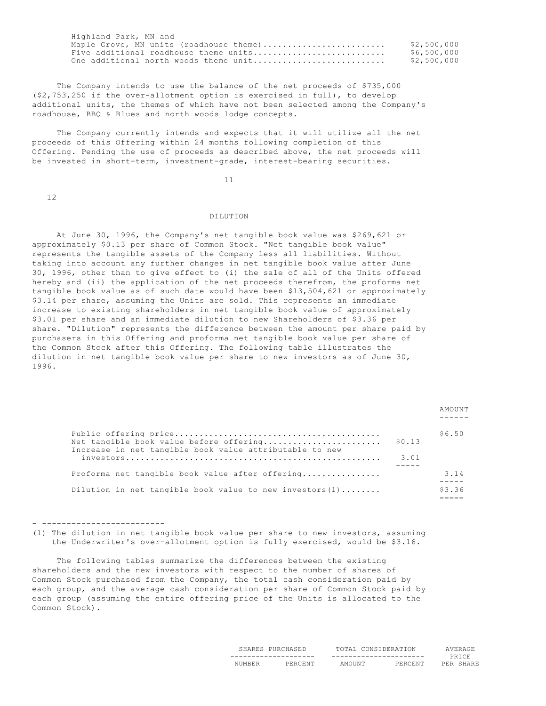| Highland Park, MN and                   |             |
|-----------------------------------------|-------------|
| Maple Grove, MN units (roadhouse theme) | \$2,500,000 |
| Five additional roadhouse theme units   | \$6,500,000 |
| One additional north woods theme unit   | \$2,500,000 |
|                                         |             |

 The Company intends to use the balance of the net proceeds of \$735,000 (\$2,753,250 if the over-allotment option is exercised in full), to develop additional units, the themes of which have not been selected among the Company's roadhouse, BBQ & Blues and north woods lodge concepts.

 The Company currently intends and expects that it will utilize all the net proceeds of this Offering within 24 months following completion of this Offering. Pending the use of proceeds as described above, the net proceeds will be invested in short-term, investment-grade, interest-bearing securities.

11

12

## DILUTION

 At June 30, 1996, the Company's net tangible book value was \$269,621 or approximately \$0.13 per share of Common Stock. "Net tangible book value" represents the tangible assets of the Company less all liabilities. Without taking into account any further changes in net tangible book value after June 30, 1996, other than to give effect to (i) the sale of all of the Units offered hereby and (ii) the application of the net proceeds therefrom, the proforma net tangible book value as of such date would have been \$13,504,621 or approximately \$3.14 per share, assuming the Units are sold. This represents an immediate increase to existing shareholders in net tangible book value of approximately \$3.01 per share and an immediate dilution to new Shareholders of \$3.36 per share. "Dilution" represents the difference between the amount per share paid by purchasers in this Offering and proforma net tangible book value per share of the Common Stock after this Offering. The following table illustrates the dilution in net tangible book value per share to new investors as of June 30, 1996.

|                                                            |        | AMOUNT |
|------------------------------------------------------------|--------|--------|
| Net tangible book value before offering                    | \$0.13 | \$6.50 |
| Increase in net tangible book value attributable to new    | 3.01   |        |
| Proforma net tangible book value after offering            |        | 3.14   |
| Dilution in net tangible book value to new investors $(1)$ |        | \$3.36 |

- -------------------------

(1) The dilution in net tangible book value per share to new investors, assuming the Underwriter's over-allotment option is fully exercised, would be \$3.16.

 The following tables summarize the differences between the existing shareholders and the new investors with respect to the number of shares of Common Stock purchased from the Company, the total cash consideration paid by each group, and the average cash consideration per share of Common Stock paid by each group (assuming the entire offering price of the Units is allocated to the Common Stock).

|  |                       | . .                       |       |  |
|--|-----------------------|---------------------------|-------|--|
|  | --------------------- | $- - -$<br>-------------- | ----- |  |
|  |                       |                           |       |  |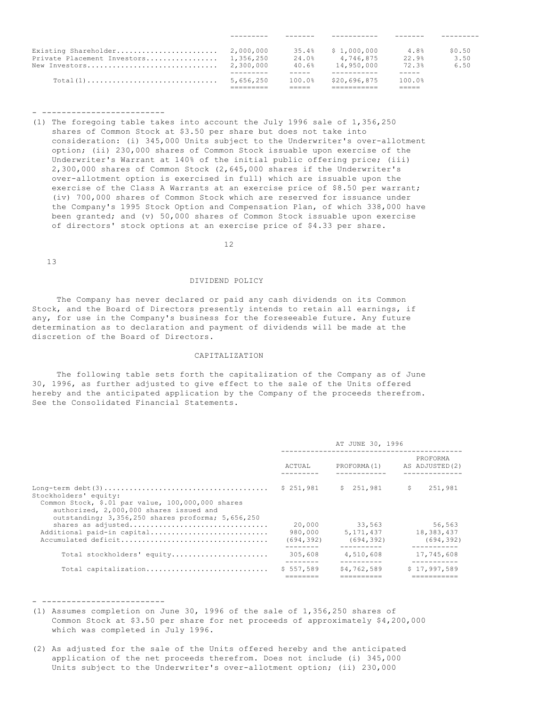|                             |           | 35.4%  | \$1,000,000  | 4.8%   | \$0.50 |
|-----------------------------|-----------|--------|--------------|--------|--------|
| Private Placement Investors | 1,356,250 | 24.0%  | 4,746,875    | 22.9%  | 3.50   |
| New Investors               | 2,300,000 | 40.6%  | 14,950,000   | 72.3%  | 6.50   |
|                             |           |        |              |        |        |
|                             | 5,656,250 | 100.0% | \$20,696,875 | 100.0% |        |
|                             |           |        |              |        |        |

(1) The foregoing table takes into account the July 1996 sale of 1,356,250 shares of Common Stock at \$3.50 per share but does not take into consideration: (i) 345,000 Units subject to the Underwriter's over-allotment option; (ii) 230,000 shares of Common Stock issuable upon exercise of the Underwriter's Warrant at 140% of the initial public offering price; (iii) 2,300,000 shares of Common Stock (2,645,000 shares if the Underwriter's over-allotment option is exercised in full) which are issuable upon the exercise of the Class A Warrants at an exercise price of \$8.50 per warrant; (iv) 700,000 shares of Common Stock which are reserved for issuance under the Company's 1995 Stock Option and Compensation Plan, of which 338,000 have been granted; and (v) 50,000 shares of Common Stock issuable upon exercise of directors' stock options at an exercise price of \$4.33 per share.

12

13

# DIVIDEND POLICY

 The Company has never declared or paid any cash dividends on its Common Stock, and the Board of Directors presently intends to retain all earnings, if any, for use in the Company's business for the foreseeable future. Any future determination as to declaration and payment of dividends will be made at the discretion of the Board of Directors.

# CAPITALIZATION

 The following table sets forth the capitalization of the Company as of June 30, 1996, as further adjusted to give effect to the sale of the Units offered hereby and the anticipated application by the Company of the proceeds therefrom. See the Consolidated Financial Statements.

|                                                                                                                                                                            |                                 | AT JUNE 30, 1996                    |                                    |
|----------------------------------------------------------------------------------------------------------------------------------------------------------------------------|---------------------------------|-------------------------------------|------------------------------------|
|                                                                                                                                                                            | ACTUAL                          | PROFORMA(1)                         | PROFORMA<br>AS ADJUSTED (2)        |
| Stockholders' equity:<br>Common Stock, \$.01 par value, 100,000,000 shares<br>authorized, 2,000,000 shares issued and<br>outstanding; 3,356,250 shares proforma; 5,656,250 | \$251.981                       | \$ 251,981                          | S.<br>251,981                      |
| shares as adjusted<br>Additional paid-in capital                                                                                                                           | 20,000<br>980,000<br>(694, 392) | 33,563<br>5, 171, 437<br>(694, 392) | 56,563<br>18,383,437<br>(694, 392) |
| Total stockholders' equity                                                                                                                                                 | 305,608                         | 4,510,608                           | 17,745,608                         |
| Total capitalization                                                                                                                                                       | \$557.589                       | \$4,762,589                         | \$17,997,589                       |

- -------------------------

- (1) Assumes completion on June 30, 1996 of the sale of 1,356,250 shares of Common Stock at \$3.50 per share for net proceeds of approximately \$4,200,000 which was completed in July 1996.
- (2) As adjusted for the sale of the Units offered hereby and the anticipated application of the net proceeds therefrom. Does not include (i) 345,000 Units subject to the Underwriter's over-allotment option; (ii) 230,000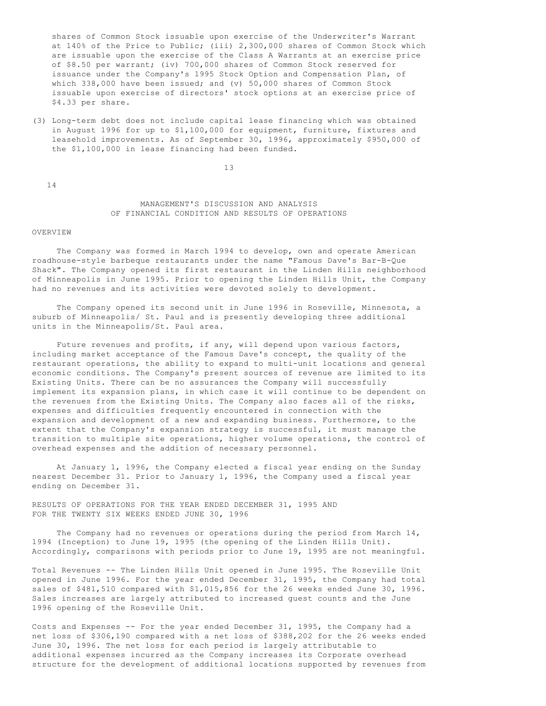shares of Common Stock issuable upon exercise of the Underwriter's Warrant at 140% of the Price to Public; (iii) 2,300,000 shares of Common Stock which are issuable upon the exercise of the Class A Warrants at an exercise price of \$8.50 per warrant; (iv) 700,000 shares of Common Stock reserved for issuance under the Company's 1995 Stock Option and Compensation Plan, of which  $338,000$  have been issued; and (v)  $50,000$  shares of Common Stock issuable upon exercise of directors' stock options at an exercise price of \$4.33 per share.

(3) Long-term debt does not include capital lease financing which was obtained in August 1996 for up to \$1,100,000 for equipment, furniture, fixtures and leasehold improvements. As of September 30, 1996, approximately \$950,000 of the \$1,100,000 in lease financing had been funded.

13

14

# MANAGEMENT'S DISCUSSION AND ANALYSIS OF FINANCIAL CONDITION AND RESULTS OF OPERATIONS

#### OVERVIEW

 The Company was formed in March 1994 to develop, own and operate American roadhouse-style barbeque restaurants under the name "Famous Dave's Bar-B-Que Shack". The Company opened its first restaurant in the Linden Hills neighborhood of Minneapolis in June 1995. Prior to opening the Linden Hills Unit, the Company had no revenues and its activities were devoted solely to development.

 The Company opened its second unit in June 1996 in Roseville, Minnesota, a suburb of Minneapolis/ St. Paul and is presently developing three additional units in the Minneapolis/St. Paul area.

 Future revenues and profits, if any, will depend upon various factors, including market acceptance of the Famous Dave's concept, the quality of the restaurant operations, the ability to expand to multi-unit locations and general economic conditions. The Company's present sources of revenue are limited to its Existing Units. There can be no assurances the Company will successfully implement its expansion plans, in which case it will continue to be dependent on the revenues from the Existing Units. The Company also faces all of the risks, expenses and difficulties frequently encountered in connection with the expansion and development of a new and expanding business. Furthermore, to the extent that the Company's expansion strategy is successful, it must manage the transition to multiple site operations, higher volume operations, the control of overhead expenses and the addition of necessary personnel.

 At January 1, 1996, the Company elected a fiscal year ending on the Sunday nearest December 31. Prior to January 1, 1996, the Company used a fiscal year ending on December 31.

RESULTS OF OPERATIONS FOR THE YEAR ENDED DECEMBER 31, 1995 AND FOR THE TWENTY SIX WEEKS ENDED JUNE 30, 1996

 The Company had no revenues or operations during the period from March 14, 1994 (Inception) to June 19, 1995 (the opening of the Linden Hills Unit). Accordingly, comparisons with periods prior to June 19, 1995 are not meaningful.

Total Revenues -- The Linden Hills Unit opened in June 1995. The Roseville Unit opened in June 1996. For the year ended December 31, 1995, the Company had total sales of \$481,510 compared with \$1,015,856 for the 26 weeks ended June 30, 1996. Sales increases are largely attributed to increased guest counts and the June 1996 opening of the Roseville Unit.

Costs and Expenses -- For the year ended December 31, 1995, the Company had a net loss of \$306,190 compared with a net loss of \$388,202 for the 26 weeks ended June 30, 1996. The net loss for each period is largely attributable to additional expenses incurred as the Company increases its Corporate overhead structure for the development of additional locations supported by revenues from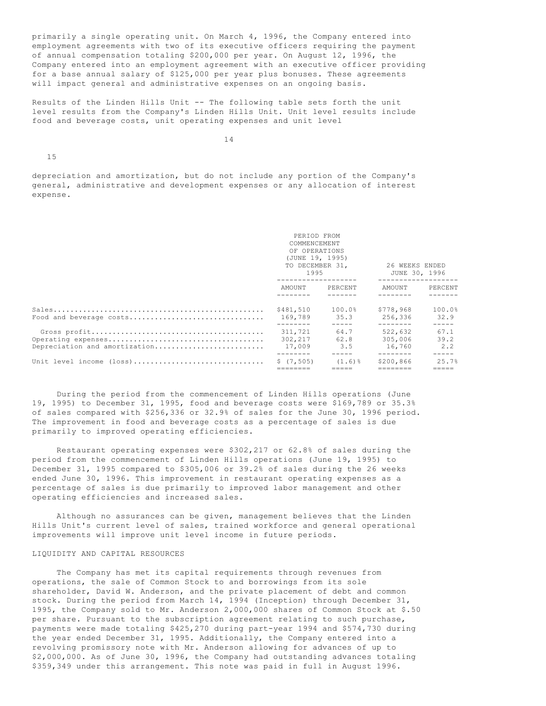primarily a single operating unit. On March 4, 1996, the Company entered into employment agreements with two of its executive officers requiring the payment of annual compensation totaling \$200,000 per year. On August 12, 1996, the Company entered into an employment agreement with an executive officer providing for a base annual salary of \$125,000 per year plus bonuses. These agreements will impact general and administrative expenses on an ongoing basis.

Results of the Linden Hills Unit -- The following table sets forth the unit level results from the Company's Linden Hills Unit. Unit level results include food and beverage costs, unit operating expenses and unit level

14

15

depreciation and amortization, but do not include any portion of the Company's general, administrative and development expenses or any allocation of interest expense.

|                               | PERIOD FROM<br>COMMENCEMENT<br>OF OPERATIONS<br>(JUNE 19, 1995)<br>1995 | TO DECEMBER 31.     | 26 WEEKS ENDED<br>JUNE 30, 1996  |                                    |  |
|-------------------------------|-------------------------------------------------------------------------|---------------------|----------------------------------|------------------------------------|--|
|                               | AMOUNT                                                                  | PERCENT             | AMOUNT                           | PERCENT                            |  |
| Food and beverage costs       | \$481,510<br>169.789<br>--------                                        | 100.0%<br>35.3      | \$778.968<br>256,336<br>-------- | 100.0%<br>32.9<br>$- - - - -$      |  |
| Depreciation and amortization | 311,721<br>302,217<br>17,009                                            | 64.7<br>62.8<br>3.5 | 522,632<br>305,006<br>16,760     | 67.1<br>39.2<br>2.2<br>$- - - - -$ |  |
| Unit level income (loss)      | \$(7, 505)                                                              | $(1.6)$ %           | \$200,866                        | 25.7%                              |  |

 During the period from the commencement of Linden Hills operations (June 19, 1995) to December 31, 1995, food and beverage costs were \$169,789 or 35.3% of sales compared with \$256,336 or 32.9% of sales for the June 30, 1996 period. The improvement in food and beverage costs as a percentage of sales is due primarily to improved operating efficiencies.

 Restaurant operating expenses were \$302,217 or 62.8% of sales during the period from the commencement of Linden Hills operations (June 19, 1995) to December 31, 1995 compared to \$305,006 or 39.2% of sales during the 26 weeks ended June 30, 1996. This improvement in restaurant operating expenses as a percentage of sales is due primarily to improved labor management and other operating efficiencies and increased sales.

 Although no assurances can be given, management believes that the Linden Hills Unit's current level of sales, trained workforce and general operational improvements will improve unit level income in future periods.

# LIQUIDITY AND CAPITAL RESOURCES

 The Company has met its capital requirements through revenues from operations, the sale of Common Stock to and borrowings from its sole shareholder, David W. Anderson, and the private placement of debt and common stock. During the period from March 14, 1994 (Inception) through December 31, 1995, the Company sold to Mr. Anderson 2,000,000 shares of Common Stock at \$.50 per share. Pursuant to the subscription agreement relating to such purchase, payments were made totaling \$425,270 during part-year 1994 and \$574,730 during the year ended December 31, 1995. Additionally, the Company entered into a revolving promissory note with Mr. Anderson allowing for advances of up to \$2,000,000. As of June 30, 1996, the Company had outstanding advances totaling \$359,349 under this arrangement. This note was paid in full in August 1996.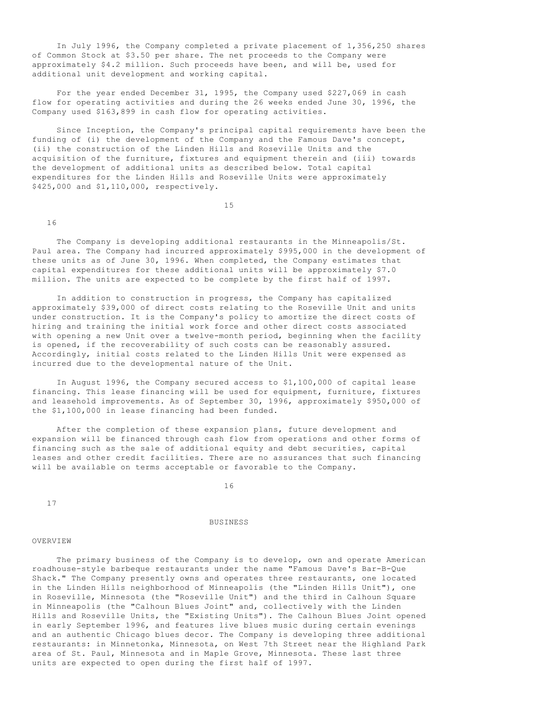In July 1996, the Company completed a private placement of 1,356,250 shares of Common Stock at \$3.50 per share. The net proceeds to the Company were approximately \$4.2 million. Such proceeds have been, and will be, used for additional unit development and working capital.

 For the year ended December 31, 1995, the Company used \$227,069 in cash flow for operating activities and during the 26 weeks ended June 30, 1996, the Company used \$163,899 in cash flow for operating activities.

 Since Inception, the Company's principal capital requirements have been the funding of (i) the development of the Company and the Famous Dave's concept, (ii) the construction of the Linden Hills and Roseville Units and the acquisition of the furniture, fixtures and equipment therein and (iii) towards the development of additional units as described below. Total capital expenditures for the Linden Hills and Roseville Units were approximately \$425,000 and \$1,110,000, respectively.

15

16

 The Company is developing additional restaurants in the Minneapolis/St. Paul area. The Company had incurred approximately \$995,000 in the development of these units as of June 30, 1996. When completed, the Company estimates that capital expenditures for these additional units will be approximately \$7.0 million. The units are expected to be complete by the first half of 1997.

 In addition to construction in progress, the Company has capitalized approximately \$39,000 of direct costs relating to the Roseville Unit and units under construction. It is the Company's policy to amortize the direct costs of hiring and training the initial work force and other direct costs associated with opening a new Unit over a twelve-month period, beginning when the facility is opened, if the recoverability of such costs can be reasonably assured. Accordingly, initial costs related to the Linden Hills Unit were expensed as incurred due to the developmental nature of the Unit.

 In August 1996, the Company secured access to \$1,100,000 of capital lease financing. This lease financing will be used for equipment, furniture, fixtures and leasehold improvements. As of September 30, 1996, approximately \$950,000 of the \$1,100,000 in lease financing had been funded.

 After the completion of these expansion plans, future development and expansion will be financed through cash flow from operations and other forms of financing such as the sale of additional equity and debt securities, capital leases and other credit facilities. There are no assurances that such financing will be available on terms acceptable or favorable to the Company.

16

17

#### **BUSINESS**

#### OVERVIEW

 The primary business of the Company is to develop, own and operate American roadhouse-style barbeque restaurants under the name "Famous Dave's Bar-B-Que Shack." The Company presently owns and operates three restaurants, one located in the Linden Hills neighborhood of Minneapolis (the "Linden Hills Unit"), one in Roseville, Minnesota (the "Roseville Unit") and the third in Calhoun Square in Minneapolis (the "Calhoun Blues Joint" and, collectively with the Linden Hills and Roseville Units, the "Existing Units"). The Calhoun Blues Joint opened in early September 1996, and features live blues music during certain evenings and an authentic Chicago blues decor. The Company is developing three additional restaurants: in Minnetonka, Minnesota, on West 7th Street near the Highland Park area of St. Paul, Minnesota and in Maple Grove, Minnesota. These last three units are expected to open during the first half of 1997.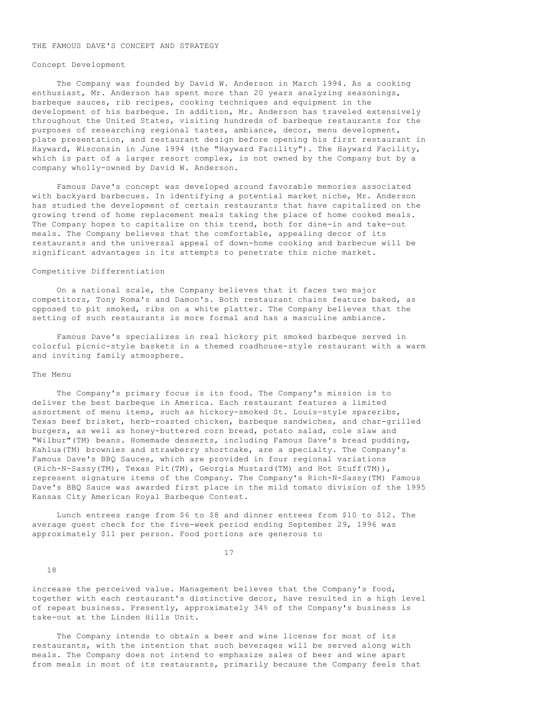#### THE FAMOUS DAVE'S CONCEPT AND STRATEGY

#### Concept Development

 The Company was founded by David W. Anderson in March 1994. As a cooking enthusiast, Mr. Anderson has spent more than 20 years analyzing seasonings, barbeque sauces, rib recipes, cooking techniques and equipment in the development of his barbeque. In addition, Mr. Anderson has traveled extensively throughout the United States, visiting hundreds of barbeque restaurants for the purposes of researching regional tastes, ambiance, decor, menu development, plate presentation, and restaurant design before opening his first restaurant in Hayward, Wisconsin in June 1994 (the "Hayward Facility"). The Hayward Facility, which is part of a larger resort complex, is not owned by the Company but by a company wholly-owned by David W. Anderson.

 Famous Dave's concept was developed around favorable memories associated with backyard barbecues. In identifying a potential market niche, Mr. Anderson has studied the development of certain restaurants that have capitalized on the growing trend of home replacement meals taking the place of home cooked meals. The Company hopes to capitalize on this trend, both for dine-in and take-out meals. The Company believes that the comfortable, appealing decor of its restaurants and the universal appeal of down-home cooking and barbecue will be significant advantages in its attempts to penetrate this niche market.

# Competitive Differentiation

 On a national scale, the Company believes that it faces two major competitors, Tony Roma's and Damon's. Both restaurant chains feature baked, as opposed to pit smoked, ribs on a white platter. The Company believes that the setting of such restaurants is more formal and has a masculine ambiance.

 Famous Dave's specializes in real hickory pit smoked barbeque served in colorful picnic-style baskets in a themed roadhouse-style restaurant with a warm and inviting family atmosphere.

#### The Menu

 The Company's primary focus is its food. The Company's mission is to deliver the best barbeque in America. Each restaurant features a limited assortment of menu items, such as hickory-smoked St. Louis-style spareribs, Texas beef brisket, herb-roasted chicken, barbeque sandwiches, and char-grilled burgers, as well as honey-buttered corn bread, potato salad, cole slaw and "Wilbur"(TM) beans. Homemade desserts, including Famous Dave's bread pudding, Kahlua(TM) brownies and strawberry shortcake, are a specialty. The Company's Famous Dave's BBQ Sauces, which are provided in four regional variations (Rich-N-Sassy(TM), Texas Pit(TM), Georgia Mustard(TM) and Hot Stuff(TM)), represent signature items of the Company. The Company's Rich-N-Sassy(TM) Famous Dave's BBQ Sauce was awarded first place in the mild tomato division of the 1995 Kansas City American Royal Barbeque Contest.

 Lunch entrees range from \$6 to \$8 and dinner entrees from \$10 to \$12. The average guest check for the five-week period ending September 29, 1996 was approximately \$11 per person. Food portions are generous to

17

18

increase the perceived value. Management believes that the Company's food, together with each restaurant's distinctive decor, have resulted in a high level of repeat business. Presently, approximately 34% of the Company's business is take-out at the Linden Hills Unit.

 The Company intends to obtain a beer and wine license for most of its restaurants, with the intention that such beverages will be served along with meals. The Company does not intend to emphasize sales of beer and wine apart from meals in most of its restaurants, primarily because the Company feels that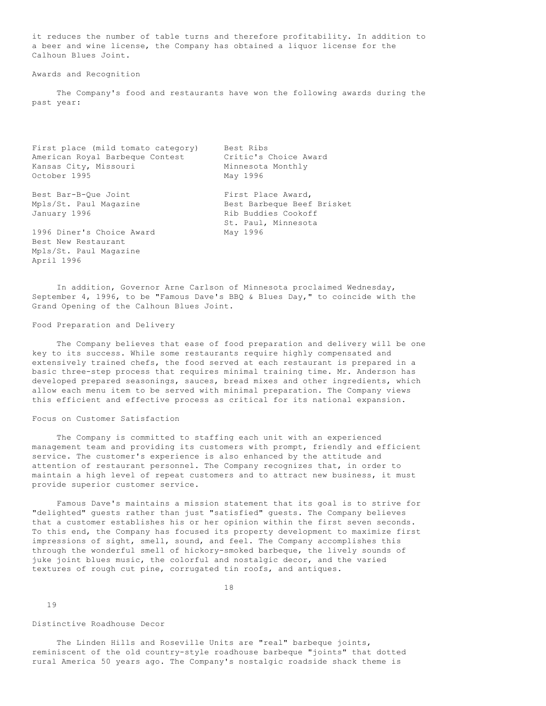it reduces the number of table turns and therefore profitability. In addition to a beer and wine license, the Company has obtained a liquor license for the Calhoun Blues Joint.

# Awards and Recognition

 The Company's food and restaurants have won the following awards during the past year:

| First place (mild tomato category) | Best Ribs                  |
|------------------------------------|----------------------------|
| American Royal Barbeque Contest    | Critic's Choice Award      |
| Kansas City, Missouri              | Minnesota Monthly          |
| October 1995                       | May 1996                   |
|                                    |                            |
| Best Bar-B-Oue Joint               | First Place Award,         |
| Mpls/St. Paul Magazine             | Best Barbeque Beef Brisket |
| January 1996                       | Rib Buddies Cookoff        |
|                                    | St. Paul, Minnesota        |
| 1996 Diner's Choice Award          | May 1996                   |
| Best New Restaurant                |                            |
| Mpls/St. Paul Magazine             |                            |
| April 1996                         |                            |

 In addition, Governor Arne Carlson of Minnesota proclaimed Wednesday, September 4, 1996, to be "Famous Dave's BBQ & Blues Day," to coincide with the Grand Opening of the Calhoun Blues Joint.

#### Food Preparation and Delivery

 The Company believes that ease of food preparation and delivery will be one key to its success. While some restaurants require highly compensated and extensively trained chefs, the food served at each restaurant is prepared in a basic three-step process that requires minimal training time. Mr. Anderson has developed prepared seasonings, sauces, bread mixes and other ingredients, which allow each menu item to be served with minimal preparation. The Company views this efficient and effective process as critical for its national expansion.

#### Focus on Customer Satisfaction

 The Company is committed to staffing each unit with an experienced management team and providing its customers with prompt, friendly and efficient service. The customer's experience is also enhanced by the attitude and attention of restaurant personnel. The Company recognizes that, in order to maintain a high level of repeat customers and to attract new business, it must provide superior customer service.

 Famous Dave's maintains a mission statement that its goal is to strive for "delighted" guests rather than just "satisfied" guests. The Company believes that a customer establishes his or her opinion within the first seven seconds. To this end, the Company has focused its property development to maximize first impressions of sight, smell, sound, and feel. The Company accomplishes this through the wonderful smell of hickory-smoked barbeque, the lively sounds of juke joint blues music, the colorful and nostalgic decor, and the varied textures of rough cut pine, corrugated tin roofs, and antiques.

18

19

#### Distinctive Roadhouse Decor

 The Linden Hills and Roseville Units are "real" barbeque joints, reminiscent of the old country-style roadhouse barbeque "joints" that dotted rural America 50 years ago. The Company's nostalgic roadside shack theme is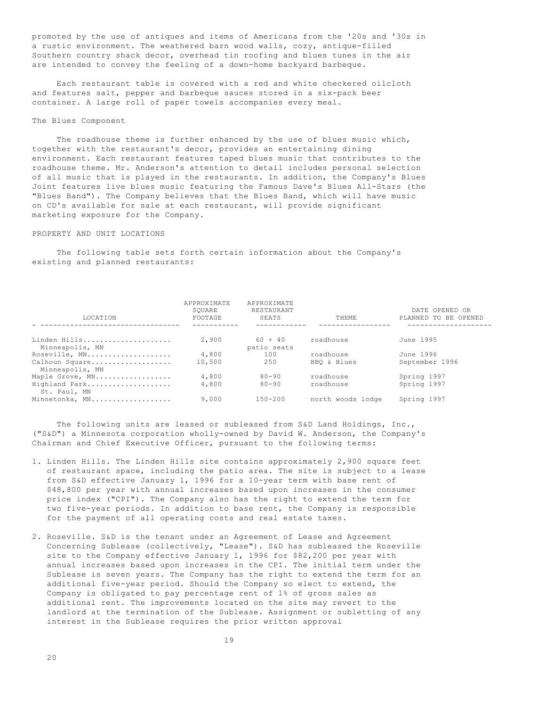promoted by the use of antiques and items of Americana from the '20s and '30s in a rustic environment. The weathered barn wood walls, cozy, antique-filled Southern country shack decor, overhead tin roofing and blues tunes in the air are intended to convey the feeling of a down-home backyard barbeque.

 Each restaurant table is covered with a red and white checkered oilcloth and features salt, pepper and barbeque sauces stored in a six-pack beer container. A large roll of paper towels accompanies every meal.

#### The Blues Component

 The roadhouse theme is further enhanced by the use of blues music which, together with the restaurant's decor, provides an entertaining dining environment. Each restaurant features taped blues music that contributes to the roadhouse theme. Mr. Anderson's attention to detail includes personal selection of all music that is played in the restaurants. In addition, the Company's Blues Joint features live blues music featuring the Famous Dave's Blues All-Stars (the "Blues Band"). The Company believes that the Blues Band, which will have music on CD's available for sale at each restaurant, will provide significant marketing exposure for the Company.

## PROPERTY AND UNIT LOCATIONS

 The following table sets forth certain information about the Company's existing and planned restaurants:

| LOCATION                          | APPROXIMATE<br>SOUARE<br>FOOTAGE | APPROXIMATE<br>RESTAURANT<br><b>SEATS</b> | <b>THEME</b>      | DATE OPENED OR<br>PLANNED TO BE OPENED |
|-----------------------------------|----------------------------------|-------------------------------------------|-------------------|----------------------------------------|
| Linden Hills                      | 2,900                            | $60 + 40$                                 | roadhouse         | June 1995                              |
| Minneapolis, MN                   |                                  | patio seats                               |                   |                                        |
| Roseville, MN                     | 4,800                            | 100                                       | roadhouse         | June 1996                              |
| Calhoun Square<br>Minneapolis, MN | 10,500                           | 250                                       | BBO & Blues       | September 1996                         |
| Maple Grove, MN                   | 4,800                            | $80 - 90$                                 | roadhouse         | Spring 1997                            |
| Highland Park<br>St. Paul, MN     | 4,800                            | $80 - 90$                                 | roadhouse         | Spring 1997                            |
| Minnetonka, MN                    | 9,000                            | $150 - 200$                               | north woods lodge | Spring 1997                            |

The following units are leased or subleased from S&D Land Holdings, Inc., ("S&D") a Minnesota corporation wholly-owned by David W. Anderson, the Company's Chairman and Chief Executive Officer, pursuant to the following terms:

- 1. Linden Hills. The Linden Hills site contains approximately 2,900 square feet of restaurant space, including the patio area. The site is subject to a lease from S&D effective January 1, 1996 for a 10-year term with base rent of \$48,800 per year with annual increases based upon increases in the consumer price index ("CPI"). The Company also has the right to extend the term for two five-year periods. In addition to base rent, the Company is responsible for the payment of all operating costs and real estate taxes.
- 2. Roseville. S&D is the tenant under an Agreement of Lease and Agreement Concerning Sublease (collectively, "Lease"). S&D has subleased the Roseville site to the Company effective January 1, 1996 for \$82,200 per year with annual increases based upon increases in the CPI. The initial term under the Sublease is seven years. The Company has the right to extend the term for an additional five-year period. Should the Company so elect to extend, the Company is obligated to pay percentage rent of 1% of gross sales as additional rent. The improvements located on the site may revert to the landlord at the termination of the Sublease. Assignment or subletting of any interest in the Sublease requires the prior written approval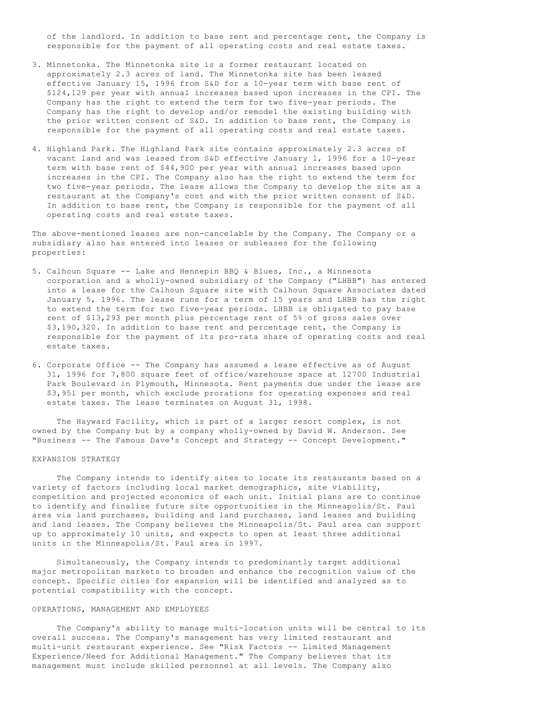of the landlord. In addition to base rent and percentage rent, the Company is responsible for the payment of all operating costs and real estate taxes.

- 3. Minnetonka. The Minnetonka site is a former restaurant located on approximately 2.3 acres of land. The Minnetonka site has been leased effective January 15, 1996 from S&D for a 10-year term with base rent of \$124,129 per year with annual increases based upon increases in the CPI. The Company has the right to extend the term for two five-year periods. The Company has the right to develop and/or remodel the existing building with the prior written consent of S&D. In addition to base rent, the Company is responsible for the payment of all operating costs and real estate taxes.
- 4. Highland Park. The Highland Park site contains approximately 2.3 acres of vacant land and was leased from S&D effective January 1, 1996 for a 10-year term with base rent of \$44,900 per year with annual increases based upon increases in the CPI. The Company also has the right to extend the term for two five-year periods. The lease allows the Company to develop the site as a restaurant at the Company's cost and with the prior written consent of S&D. In addition to base rent, the Company is responsible for the payment of all operating costs and real estate taxes.

The above-mentioned leases are non-cancelable by the Company. The Company or a subsidiary also has entered into leases or subleases for the following properties:

- 5. Calhoun Square -- Lake and Hennepin BBQ & Blues, Inc., a Minnesota corporation and a wholly-owned subsidiary of the Company ("LHBB") has entered into a lease for the Calhoun Square site with Calhoun Square Associates dated January 5, 1996. The lease runs for a term of 15 years and LHBB has the right to extend the term for two five-year periods. LHBB is obligated to pay base rent of \$13,293 per month plus percentage rent of 5% of gross sales over \$3,190,320. In addition to base rent and percentage rent, the Company is responsible for the payment of its pro-rata share of operating costs and real estate taxes.
- 6. Corporate Office -- The Company has assumed a lease effective as of August 31, 1996 for 7,800 square feet of office/warehouse space at 12700 Industrial Park Boulevard in Plymouth, Minnesota. Rent payments due under the lease are \$3,951 per month, which exclude prorations for operating expenses and real estate taxes. The lease terminates on August 31, 1998.

 The Hayward Facility, which is part of a larger resort complex, is not owned by the Company but by a company wholly-owned by David W. Anderson. See "Business -- The Famous Dave's Concept and Strategy -- Concept Development."

#### EXPANSION STRATEGY

 The Company intends to identify sites to locate its restaurants based on a variety of factors including local market demographics, site viability, competition and projected economics of each unit. Initial plans are to continue to identify and finalize future site opportunities in the Minneapolis/St. Paul area via land purchases, building and land purchases, land leases and building and land leases. The Company believes the Minneapolis/St. Paul area can support up to approximately 10 units, and expects to open at least three additional units in the Minneapolis/St. Paul area in 1997.

 Simultaneously, the Company intends to predominantly target additional major metropolitan markets to broaden and enhance the recognition value of the concept. Specific cities for expansion will be identified and analyzed as to potential compatibility with the concept.

#### OPERATIONS, MANAGEMENT AND EMPLOYEES

 The Company's ability to manage multi-location units will be central to its overall success. The Company's management has very limited restaurant and multi-unit restaurant experience. See "Risk Factors -- Limited Management Experience/Need for Additional Management." The Company believes that its management must include skilled personnel at all levels. The Company also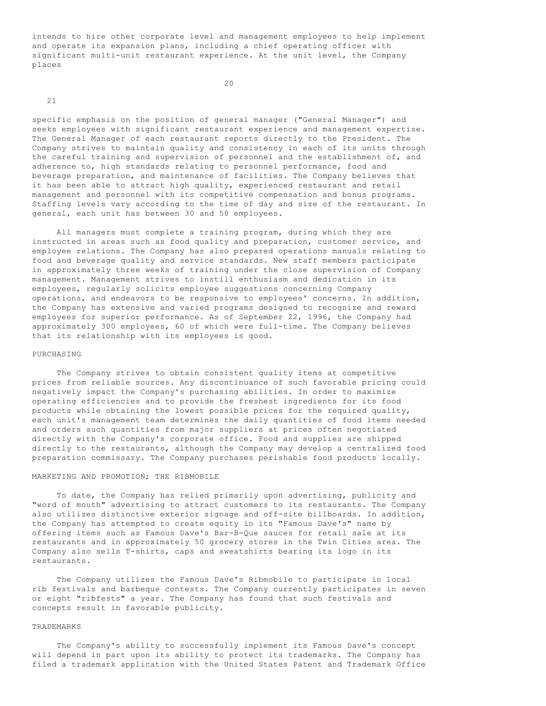intends to hire other corporate level and management employees to help implement and operate its expansion plans, including a chief operating officer with significant multi-unit restaurant experience. At the unit level, the Company places

20

21

specific emphasis on the position of general manager ("General Manager") and seeks employees with significant restaurant experience and management expertise. The General Manager of each restaurant reports directly to the President. The Company strives to maintain quality and consistency in each of its units through the careful training and supervision of personnel and the establishment of, and adherence to, high standards relating to personnel performance, food and beverage preparation, and maintenance of facilities. The Company believes that it has been able to attract high quality, experienced restaurant and retail management and personnel with its competitive compensation and bonus programs. Staffing levels vary according to the time of day and size of the restaurant. In general, each unit has between 30 and 50 employees.

 All managers must complete a training program, during which they are instructed in areas such as food quality and preparation, customer service, and employee relations. The Company has also prepared operations manuals relating to food and beverage quality and service standards. New staff members participate in approximately three weeks of training under the close supervision of Company management. Management strives to instill enthusiasm and dedication in its employees, regularly solicits employee suggestions concerning Company operations, and endeavors to be responsive to employees' concerns. In addition, the Company has extensive and varied programs designed to recognize and reward employees for superior performance. As of September 22, 1996, the Company had approximately 300 employees, 60 of which were full-time. The Company believes that its relationship with its employees is good.

#### PURCHASING

 The Company strives to obtain consistent quality items at competitive prices from reliable sources. Any discontinuance of such favorable pricing could negatively impact the Company's purchasing abilities. In order to maximize operating efficiencies and to provide the freshest ingredients for its food products while obtaining the lowest possible prices for the required quality, each unit's management team determines the daily quantities of food items needed and orders such quantities from major suppliers at prices often negotiated directly with the Company's corporate office. Food and supplies are shipped directly to the restaurants, although the Company may develop a centralized food preparation commissary. The Company purchases perishable food products locally.

# MARKETING AND PROMOTION; THE RIBMOBILE

 To date, the Company has relied primarily upon advertising, publicity and "word of mouth" advertising to attract customers to its restaurants. The Company also utilizes distinctive exterior signage and off-site billboards. In addition, the Company has attempted to create equity in its "Famous Dave's" name by offering items such as Famous Dave's Bar-B-Que sauces for retail sale at its restaurants and in approximately 50 grocery stores in the Twin Cities area. The Company also sells T-shirts, caps and sweatshirts bearing its logo in its restaurants.

 The Company utilizes the Famous Dave's Ribmobile to participate in local rib festivals and barbeque contests. The Company currently participates in seven or eight "ribfests" a year. The Company has found that such festivals and concepts result in favorable publicity.

# TRADEMARKS

 The Company's ability to successfully implement its Famous Dave's concept will depend in part upon its ability to protect its trademarks. The Company has filed a trademark application with the United States Patent and Trademark Office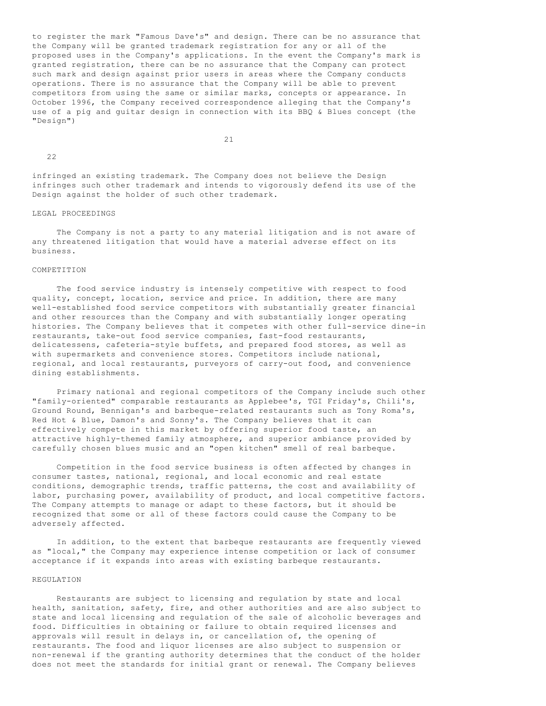to register the mark "Famous Dave's" and design. There can be no assurance that the Company will be granted trademark registration for any or all of the proposed uses in the Company's applications. In the event the Company's mark is granted registration, there can be no assurance that the Company can protect such mark and design against prior users in areas where the Company conducts operations. There is no assurance that the Company will be able to prevent competitors from using the same or similar marks, concepts or appearance. In October 1996, the Company received correspondence alleging that the Company's use of a pig and guitar design in connection with its BBQ & Blues concept (the "Design")

21

22

infringed an existing trademark. The Company does not believe the Design infringes such other trademark and intends to vigorously defend its use of the Design against the holder of such other trademark.

# LEGAL PROCEEDINGS

 The Company is not a party to any material litigation and is not aware of any threatened litigation that would have a material adverse effect on its business.

# COMPETITION

 The food service industry is intensely competitive with respect to food quality, concept, location, service and price. In addition, there are many well-established food service competitors with substantially greater financial and other resources than the Company and with substantially longer operating histories. The Company believes that it competes with other full-service dine-in restaurants, take-out food service companies, fast-food restaurants, delicatessens, cafeteria-style buffets, and prepared food stores, as well as with supermarkets and convenience stores. Competitors include national, regional, and local restaurants, purveyors of carry-out food, and convenience dining establishments.

 Primary national and regional competitors of the Company include such other "family-oriented" comparable restaurants as Applebee's, TGI Friday's, Chili's, Ground Round, Bennigan's and barbeque-related restaurants such as Tony Roma's, Red Hot & Blue, Damon's and Sonny's. The Company believes that it can effectively compete in this market by offering superior food taste, an attractive highly-themed family atmosphere, and superior ambiance provided by carefully chosen blues music and an "open kitchen" smell of real barbeque.

 Competition in the food service business is often affected by changes in consumer tastes, national, regional, and local economic and real estate conditions, demographic trends, traffic patterns, the cost and availability of labor, purchasing power, availability of product, and local competitive factors. The Company attempts to manage or adapt to these factors, but it should be recognized that some or all of these factors could cause the Company to be adversely affected.

 In addition, to the extent that barbeque restaurants are frequently viewed as "local," the Company may experience intense competition or lack of consumer acceptance if it expands into areas with existing barbeque restaurants.

#### **REGULATION**

 Restaurants are subject to licensing and regulation by state and local health, sanitation, safety, fire, and other authorities and are also subject to state and local licensing and regulation of the sale of alcoholic beverages and food. Difficulties in obtaining or failure to obtain required licenses and approvals will result in delays in, or cancellation of, the opening of restaurants. The food and liquor licenses are also subject to suspension or non-renewal if the granting authority determines that the conduct of the holder does not meet the standards for initial grant or renewal. The Company believes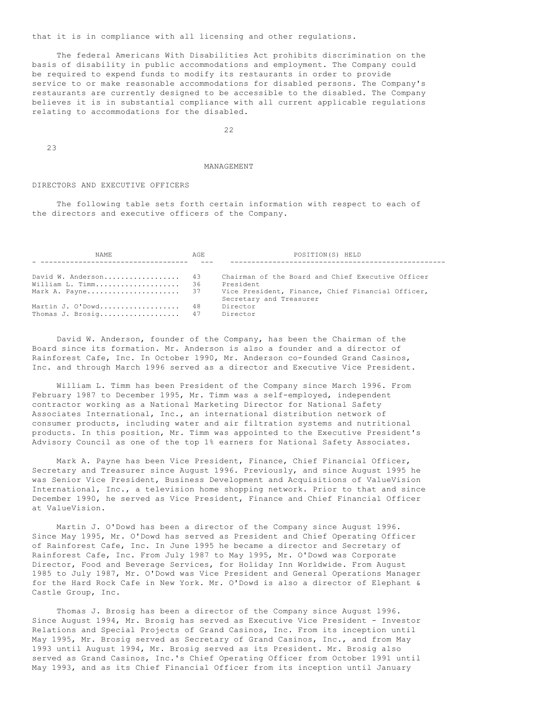that it is in compliance with all licensing and other regulations.

 The federal Americans With Disabilities Act prohibits discrimination on the basis of disability in public accommodations and employment. The Company could be required to expend funds to modify its restaurants in order to provide service to or make reasonable accommodations for disabled persons. The Company's restaurants are currently designed to be accessible to the disabled. The Company believes it is in substantial compliance with all current applicable regulations relating to accommodations for the disabled.

22

23

#### MANAGEMENT

#### DIRECTORS AND EXECUTIVE OFFICERS

 The following table sets forth certain information with respect to each of the directors and executive officers of the Company.

| NAME.                | AGE. | POSITION(S) HELD                                  |
|----------------------|------|---------------------------------------------------|
|                      |      |                                                   |
| David W. Anderson 43 |      | Chairman of the Board and Chief Executive Officer |
| William L. Timm 36   |      | President                                         |
| Mark A. Payne 37     |      | Vice President, Finance, Chief Financial Officer, |
|                      |      | Secretary and Treasurer                           |
| Martin J. O'Dowd 48  |      | Director                                          |
| Thomas J. Brosig 47  |      | Director                                          |

 David W. Anderson, founder of the Company, has been the Chairman of the Board since its formation. Mr. Anderson is also a founder and a director of Rainforest Cafe, Inc. In October 1990, Mr. Anderson co-founded Grand Casinos, Inc. and through March 1996 served as a director and Executive Vice President.

 William L. Timm has been President of the Company since March 1996. From February 1987 to December 1995, Mr. Timm was a self-employed, independent contractor working as a National Marketing Director for National Safety Associates International, Inc., an international distribution network of consumer products, including water and air filtration systems and nutritional products. In this position, Mr. Timm was appointed to the Executive President's Advisory Council as one of the top 1% earners for National Safety Associates.

 Mark A. Payne has been Vice President, Finance, Chief Financial Officer, Secretary and Treasurer since August 1996. Previously, and since August 1995 he was Senior Vice President, Business Development and Acquisitions of ValueVision International, Inc., a television home shopping network. Prior to that and since December 1990, he served as Vice President, Finance and Chief Financial Officer at ValueVision.

 Martin J. O'Dowd has been a director of the Company since August 1996. Since May 1995, Mr. O'Dowd has served as President and Chief Operating Officer of Rainforest Cafe, Inc. In June 1995 he became a director and Secretary of Rainforest Cafe, Inc. From July 1987 to May 1995, Mr. O'Dowd was Corporate Director, Food and Beverage Services, for Holiday Inn Worldwide. From August 1985 to July 1987, Mr. O'Dowd was Vice President and General Operations Manager for the Hard Rock Cafe in New York. Mr. O'Dowd is also a director of Elephant & Castle Group, Inc.

 Thomas J. Brosig has been a director of the Company since August 1996. Since August 1994, Mr. Brosig has served as Executive Vice President - Investor Relations and Special Projects of Grand Casinos, Inc. From its inception until May 1995, Mr. Brosig served as Secretary of Grand Casinos, Inc., and from May 1993 until August 1994, Mr. Brosig served as its President. Mr. Brosig also served as Grand Casinos, Inc.'s Chief Operating Officer from October 1991 until May 1993, and as its Chief Financial Officer from its inception until January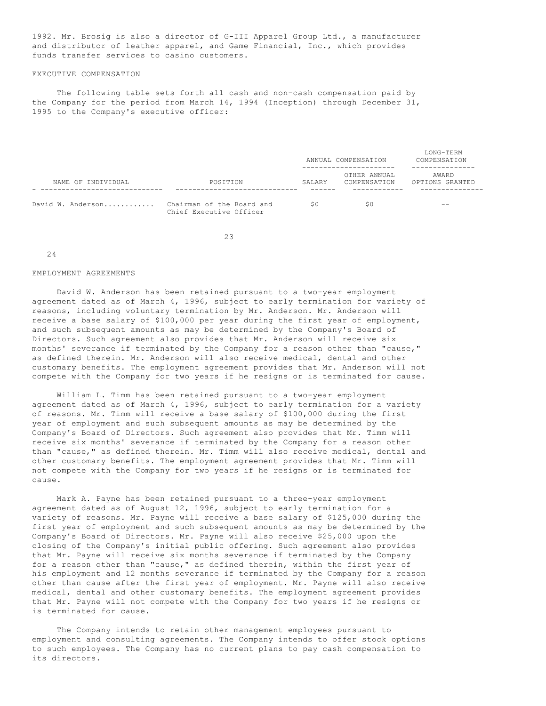1992. Mr. Brosig is also a director of G-III Apparel Group Ltd., a manufacturer and distributor of leather apparel, and Game Financial, Inc., which provides funds transfer services to casino customers.

## EXECUTIVE COMPENSATION

 The following table sets forth all cash and non-cash compensation paid by the Company for the period from March 14, 1994 (Inception) through December 31, 1995 to the Company's executive officer:

|                    |                                                      |        | ANNUAL COMPENSATION          | LONG-TERM<br>COMPENSATION |
|--------------------|------------------------------------------------------|--------|------------------------------|---------------------------|
| NAME OF INDIVIDUAL | POSITION                                             | SALARY | OTHER ANNUAL<br>COMPENSATION | AWARD<br>OPTIONS GRANTED  |
| David W. Anderson  | Chairman of the Board and<br>Chief Executive Officer | SO     | S <sub>0</sub>               | $ -$                      |

23

#### 24

#### EMPLOYMENT AGREEMENTS

 David W. Anderson has been retained pursuant to a two-year employment agreement dated as of March 4, 1996, subject to early termination for variety of reasons, including voluntary termination by Mr. Anderson. Mr. Anderson will receive a base salary of \$100,000 per year during the first year of employment, and such subsequent amounts as may be determined by the Company's Board of Directors. Such agreement also provides that Mr. Anderson will receive six months' severance if terminated by the Company for a reason other than "cause," as defined therein. Mr. Anderson will also receive medical, dental and other customary benefits. The employment agreement provides that Mr. Anderson will not compete with the Company for two years if he resigns or is terminated for cause.

 William L. Timm has been retained pursuant to a two-year employment agreement dated as of March 4, 1996, subject to early termination for a variety of reasons. Mr. Timm will receive a base salary of \$100,000 during the first year of employment and such subsequent amounts as may be determined by the Company's Board of Directors. Such agreement also provides that Mr. Timm will receive six months' severance if terminated by the Company for a reason other than "cause," as defined therein. Mr. Timm will also receive medical, dental and other customary benefits. The employment agreement provides that Mr. Timm will not compete with the Company for two years if he resigns or is terminated for cause.

 Mark A. Payne has been retained pursuant to a three-year employment agreement dated as of August 12, 1996, subject to early termination for a variety of reasons. Mr. Payne will receive a base salary of \$125,000 during the first year of employment and such subsequent amounts as may be determined by the Company's Board of Directors. Mr. Payne will also receive \$25,000 upon the closing of the Company's initial public offering. Such agreement also provides that Mr. Payne will receive six months severance if terminated by the Company for a reason other than "cause," as defined therein, within the first year of his employment and 12 months severance if terminated by the Company for a reason other than cause after the first year of employment. Mr. Payne will also receive medical, dental and other customary benefits. The employment agreement provides that Mr. Payne will not compete with the Company for two years if he resigns or is terminated for cause.

 The Company intends to retain other management employees pursuant to employment and consulting agreements. The Company intends to offer stock options to such employees. The Company has no current plans to pay cash compensation to its directors.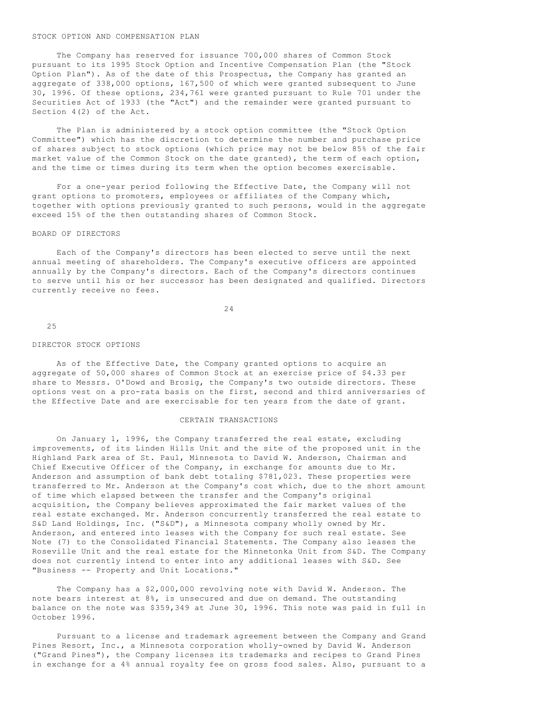#### STOCK OPTION AND COMPENSATION PLAN

 The Company has reserved for issuance 700,000 shares of Common Stock pursuant to its 1995 Stock Option and Incentive Compensation Plan (the "Stock Option Plan"). As of the date of this Prospectus, the Company has granted an aggregate of 338,000 options, 167,500 of which were granted subsequent to June 30, 1996. Of these options, 234,761 were granted pursuant to Rule 701 under the Securities Act of 1933 (the "Act") and the remainder were granted pursuant to Section 4(2) of the Act.

 The Plan is administered by a stock option committee (the "Stock Option Committee") which has the discretion to determine the number and purchase price of shares subject to stock options (which price may not be below 85% of the fair market value of the Common Stock on the date granted), the term of each option, and the time or times during its term when the option becomes exercisable.

 For a one-year period following the Effective Date, the Company will not grant options to promoters, employees or affiliates of the Company which, together with options previously granted to such persons, would in the aggregate exceed 15% of the then outstanding shares of Common Stock.

## BOARD OF DIRECTORS

 Each of the Company's directors has been elected to serve until the next annual meeting of shareholders. The Company's executive officers are appointed annually by the Company's directors. Each of the Company's directors continues to serve until his or her successor has been designated and qualified. Directors currently receive no fees.

24

25

#### DIRECTOR STOCK OPTIONS

 As of the Effective Date, the Company granted options to acquire an aggregate of 50,000 shares of Common Stock at an exercise price of \$4.33 per share to Messrs. O'Dowd and Brosig, the Company's two outside directors. These options vest on a pro-rata basis on the first, second and third anniversaries of the Effective Date and are exercisable for ten years from the date of grant.

## CERTAIN TRANSACTIONS

 On January 1, 1996, the Company transferred the real estate, excluding improvements, of its Linden Hills Unit and the site of the proposed unit in the Highland Park area of St. Paul, Minnesota to David W. Anderson, Chairman and Chief Executive Officer of the Company, in exchange for amounts due to Mr. Anderson and assumption of bank debt totaling \$781,023. These properties were transferred to Mr. Anderson at the Company's cost which, due to the short amount of time which elapsed between the transfer and the Company's original acquisition, the Company believes approximated the fair market values of the real estate exchanged. Mr. Anderson concurrently transferred the real estate to S&D Land Holdings, Inc. ("S&D"), a Minnesota company wholly owned by Mr. Anderson, and entered into leases with the Company for such real estate. See Note (7) to the Consolidated Financial Statements. The Company also leases the Roseville Unit and the real estate for the Minnetonka Unit from S&D. The Company does not currently intend to enter into any additional leases with S&D. See "Business -- Property and Unit Locations."

 The Company has a \$2,000,000 revolving note with David W. Anderson. The note bears interest at 8%, is unsecured and due on demand. The outstanding balance on the note was \$359,349 at June 30, 1996. This note was paid in full in October 1996.

 Pursuant to a license and trademark agreement between the Company and Grand Pines Resort, Inc., a Minnesota corporation wholly-owned by David W. Anderson ("Grand Pines"), the Company licenses its trademarks and recipes to Grand Pines in exchange for a 4% annual royalty fee on gross food sales. Also, pursuant to a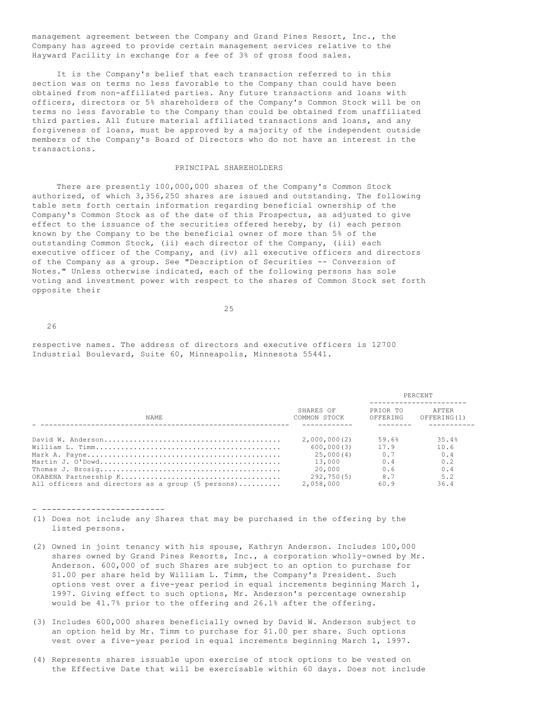management agreement between the Company and Grand Pines Resort, Inc., the Company has agreed to provide certain management services relative to the Hayward Facility in exchange for a fee of 3% of gross food sales.

 It is the Company's belief that each transaction referred to in this section was on terms no less favorable to the Company than could have been obtained from non-affiliated parties. Any future transactions and loans with officers, directors or 5% shareholders of the Company's Common Stock will be on terms no less favorable to the Company than could be obtained from unaffiliated third parties. All future material affiliated transactions and loans, and any forgiveness of loans, must be approved by a majority of the independent outside members of the Company's Board of Directors who do not have an interest in the transactions.

# PRINCIPAL SHAREHOLDERS

 There are presently 100,000,000 shares of the Company's Common Stock authorized, of which 3,356,250 shares are issued and outstanding. The following table sets forth certain information regarding beneficial ownership of the Company's Common Stock as of the date of this Prospectus, as adjusted to give effect to the issuance of the securities offered hereby, by (i) each person known by the Company to be the beneficial owner of more than 5% of the outstanding Common Stock, (ii) each director of the Company, (iii) each executive officer of the Company, and (iv) all executive officers and directors of the Company as a group. See "Description of Securities -- Conversion of Notes." Unless otherwise indicated, each of the following persons has sole voting and investment power with respect to the shares of Common Stock set forth opposite their

25

 $26$ 

respective names. The address of directors and executive officers is 12700 Industrial Boulevard, Suite 60, Minneapolis, Minnesota 55441.

|                                                   |                           | PERCENT              |                       |  |  |
|---------------------------------------------------|---------------------------|----------------------|-----------------------|--|--|
| NAME.                                             | SHARES OF<br>COMMON STOCK | PRIOR TO<br>OFFERING | AFTER<br>OFFERING (1) |  |  |
|                                                   |                           |                      |                       |  |  |
|                                                   | 2,000,000(2)              | 59.6%                | 35.4%                 |  |  |
|                                                   | 600,000(3)                | 17.9                 | 10.6                  |  |  |
|                                                   | 25,000(4)                 | 0.7                  | 0.4                   |  |  |
|                                                   | 13,000                    | 0.4                  | 0.2                   |  |  |
|                                                   | 20.000                    | 0.6                  | 0.4                   |  |  |
|                                                   | 292,750(5)                | 8.7                  | 5.2                   |  |  |
| All officers and directors as a group (5 persons) | 2,058,000                 | 60.9                 | 36.4                  |  |  |

- -------------------------

- (1) Does not include any Shares that may be purchased in the offering by the listed persons.
- (2) Owned in joint tenancy with his spouse, Kathryn Anderson. Includes 100,000 shares owned by Grand Pines Resorts, Inc., a corporation wholly-owned by Mr. Anderson. 600,000 of such Shares are subject to an option to purchase for \$1.00 per share held by William L. Timm, the Company's President. Such options vest over a five-year period in equal increments beginning March 1, 1997. Giving effect to such options, Mr. Anderson's percentage ownership would be 41.7% prior to the offering and 26.1% after the offering.
- (3) Includes 600,000 shares beneficially owned by David W. Anderson subject to an option held by Mr. Timm to purchase for \$1.00 per share. Such options vest over a five-year period in equal increments beginning March 1, 1997.
- (4) Represents shares issuable upon exercise of stock options to be vested on the Effective Date that will be exercisable within 60 days. Does not include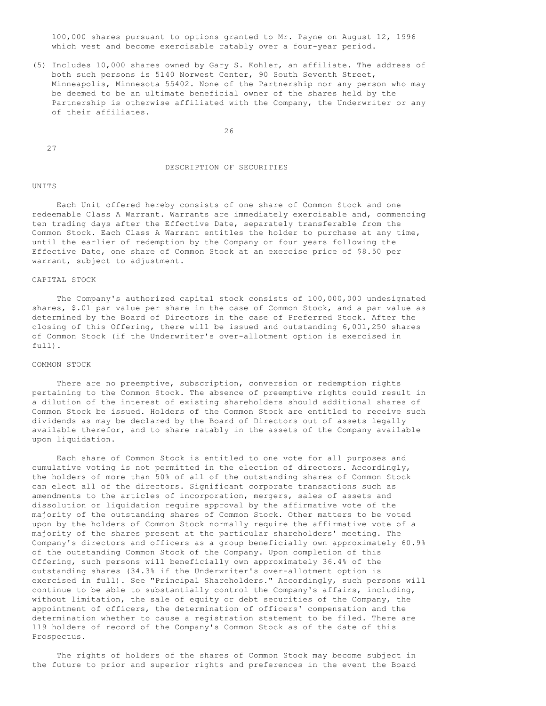100,000 shares pursuant to options granted to Mr. Payne on August 12, 1996 which vest and become exercisable ratably over a four-year period.

(5) Includes 10,000 shares owned by Gary S. Kohler, an affiliate. The address of both such persons is 5140 Norwest Center, 90 South Seventh Street, Minneapolis, Minnesota 55402. None of the Partnership nor any person who may be deemed to be an ultimate beneficial owner of the shares held by the Partnership is otherwise affiliated with the Company, the Underwriter or any of their affiliates.

26

27

# DESCRIPTION OF SECURITIES

#### **UNITS**

 Each Unit offered hereby consists of one share of Common Stock and one redeemable Class A Warrant. Warrants are immediately exercisable and, commencing ten trading days after the Effective Date, separately transferable from the Common Stock. Each Class A Warrant entitles the holder to purchase at any time, until the earlier of redemption by the Company or four years following the Effective Date, one share of Common Stock at an exercise price of \$8.50 per warrant, subject to adjustment.

### CAPITAL STOCK

 The Company's authorized capital stock consists of 100,000,000 undesignated shares, \$.01 par value per share in the case of Common Stock, and a par value as determined by the Board of Directors in the case of Preferred Stock. After the closing of this Offering, there will be issued and outstanding 6,001,250 shares of Common Stock (if the Underwriter's over-allotment option is exercised in full).

#### COMMON STOCK

 There are no preemptive, subscription, conversion or redemption rights pertaining to the Common Stock. The absence of preemptive rights could result in a dilution of the interest of existing shareholders should additional shares of Common Stock be issued. Holders of the Common Stock are entitled to receive such dividends as may be declared by the Board of Directors out of assets legally available therefor, and to share ratably in the assets of the Company available upon liquidation.

 Each share of Common Stock is entitled to one vote for all purposes and cumulative voting is not permitted in the election of directors. Accordingly, the holders of more than 50% of all of the outstanding shares of Common Stock can elect all of the directors. Significant corporate transactions such as amendments to the articles of incorporation, mergers, sales of assets and dissolution or liquidation require approval by the affirmative vote of the majority of the outstanding shares of Common Stock. Other matters to be voted upon by the holders of Common Stock normally require the affirmative vote of a majority of the shares present at the particular shareholders' meeting. The Company's directors and officers as a group beneficially own approximately 60.9% of the outstanding Common Stock of the Company. Upon completion of this Offering, such persons will beneficially own approximately 36.4% of the outstanding shares (34.3% if the Underwriter's over-allotment option is exercised in full). See "Principal Shareholders." Accordingly, such persons will continue to be able to substantially control the Company's affairs, including, without limitation, the sale of equity or debt securities of the Company, the appointment of officers, the determination of officers' compensation and the determination whether to cause a registration statement to be filed. There are 119 holders of record of the Company's Common Stock as of the date of this Prospectus.

 The rights of holders of the shares of Common Stock may become subject in the future to prior and superior rights and preferences in the event the Board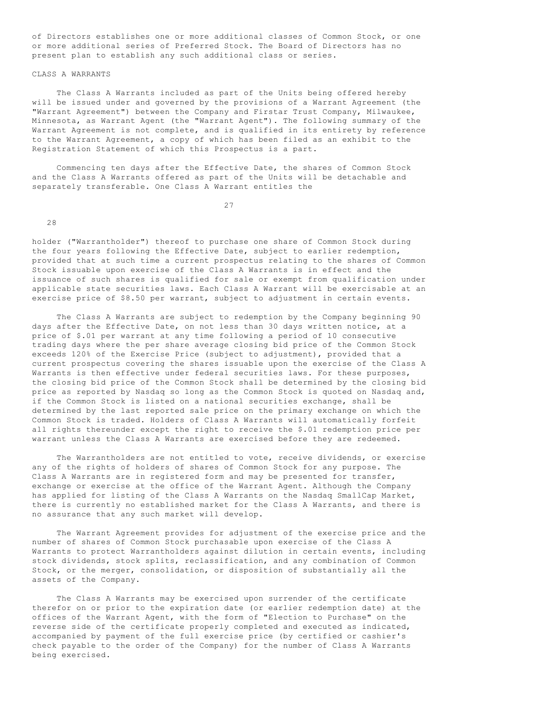of Directors establishes one or more additional classes of Common Stock, or one or more additional series of Preferred Stock. The Board of Directors has no present plan to establish any such additional class or series.

# CLASS A WARRANTS

 The Class A Warrants included as part of the Units being offered hereby will be issued under and governed by the provisions of a Warrant Agreement (the "Warrant Agreement") between the Company and Firstar Trust Company, Milwaukee, Minnesota, as Warrant Agent (the "Warrant Agent"). The following summary of the Warrant Agreement is not complete, and is qualified in its entirety by reference to the Warrant Agreement, a copy of which has been filed as an exhibit to the Registration Statement of which this Prospectus is a part.

 Commencing ten days after the Effective Date, the shares of Common Stock and the Class A Warrants offered as part of the Units will be detachable and separately transferable. One Class A Warrant entitles the

27

28

holder ("Warrantholder") thereof to purchase one share of Common Stock during the four years following the Effective Date, subject to earlier redemption, provided that at such time a current prospectus relating to the shares of Common Stock issuable upon exercise of the Class A Warrants is in effect and the issuance of such shares is qualified for sale or exempt from qualification under applicable state securities laws. Each Class A Warrant will be exercisable at an exercise price of \$8.50 per warrant, subject to adjustment in certain events.

 The Class A Warrants are subject to redemption by the Company beginning 90 days after the Effective Date, on not less than 30 days written notice, at a price of \$.01 per warrant at any time following a period of 10 consecutive trading days where the per share average closing bid price of the Common Stock exceeds 120% of the Exercise Price (subject to adjustment), provided that a current prospectus covering the shares issuable upon the exercise of the Class A Warrants is then effective under federal securities laws. For these purposes, the closing bid price of the Common Stock shall be determined by the closing bid price as reported by Nasdaq so long as the Common Stock is quoted on Nasdaq and, if the Common Stock is listed on a national securities exchange, shall be determined by the last reported sale price on the primary exchange on which the Common Stock is traded. Holders of Class A Warrants will automatically forfeit all rights thereunder except the right to receive the \$.01 redemption price per warrant unless the Class A Warrants are exercised before they are redeemed.

 The Warrantholders are not entitled to vote, receive dividends, or exercise any of the rights of holders of shares of Common Stock for any purpose. The Class A Warrants are in registered form and may be presented for transfer, exchange or exercise at the office of the Warrant Agent. Although the Company has applied for listing of the Class A Warrants on the Nasdaq SmallCap Market, there is currently no established market for the Class A Warrants, and there is no assurance that any such market will develop.

 The Warrant Agreement provides for adjustment of the exercise price and the number of shares of Common Stock purchasable upon exercise of the Class A Warrants to protect Warrantholders against dilution in certain events, including stock dividends, stock splits, reclassification, and any combination of Common Stock, or the merger, consolidation, or disposition of substantially all the assets of the Company.

 The Class A Warrants may be exercised upon surrender of the certificate therefor on or prior to the expiration date (or earlier redemption date) at the offices of the Warrant Agent, with the form of "Election to Purchase" on the reverse side of the certificate properly completed and executed as indicated, accompanied by payment of the full exercise price (by certified or cashier's check payable to the order of the Company) for the number of Class A Warrants being exercised.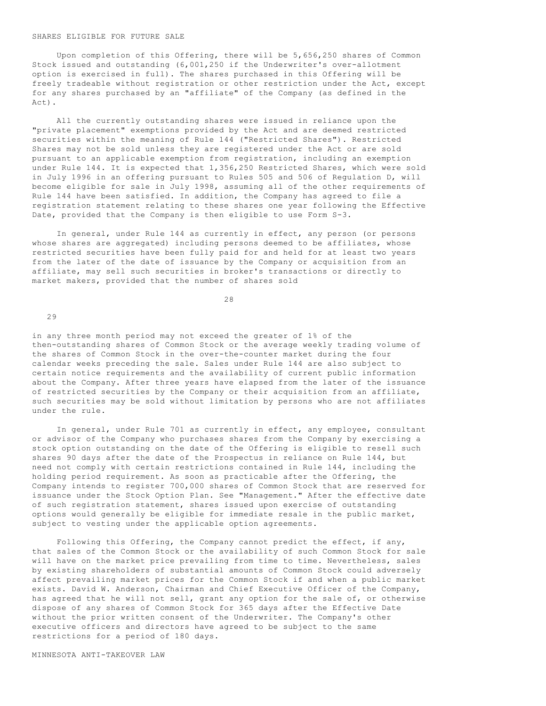#### SHARES ELIGIBLE FOR FUTURE SALE

 Upon completion of this Offering, there will be 5,656,250 shares of Common Stock issued and outstanding (6,001,250 if the Underwriter's over-allotment option is exercised in full). The shares purchased in this Offering will be freely tradeable without registration or other restriction under the Act, except for any shares purchased by an "affiliate" of the Company (as defined in the  $A \cap \uparrow$ ).

 All the currently outstanding shares were issued in reliance upon the "private placement" exemptions provided by the Act and are deemed restricted securities within the meaning of Rule 144 ("Restricted Shares"). Restricted Shares may not be sold unless they are registered under the Act or are sold pursuant to an applicable exemption from registration, including an exemption under Rule 144. It is expected that 1,356,250 Restricted Shares, which were sold in July 1996 in an offering pursuant to Rules 505 and 506 of Regulation D, will become eligible for sale in July 1998, assuming all of the other requirements of Rule 144 have been satisfied. In addition, the Company has agreed to file a registration statement relating to these shares one year following the Effective Date, provided that the Company is then eligible to use Form S-3.

 In general, under Rule 144 as currently in effect, any person (or persons whose shares are aggregated) including persons deemed to be affiliates, whose restricted securities have been fully paid for and held for at least two years from the later of the date of issuance by the Company or acquisition from an affiliate, may sell such securities in broker's transactions or directly to market makers, provided that the number of shares sold

28

29

in any three month period may not exceed the greater of 1% of the then-outstanding shares of Common Stock or the average weekly trading volume of the shares of Common Stock in the over-the-counter market during the four calendar weeks preceding the sale. Sales under Rule 144 are also subject to certain notice requirements and the availability of current public information about the Company. After three years have elapsed from the later of the issuance of restricted securities by the Company or their acquisition from an affiliate, such securities may be sold without limitation by persons who are not affiliates under the rule.

 In general, under Rule 701 as currently in effect, any employee, consultant or advisor of the Company who purchases shares from the Company by exercising a stock option outstanding on the date of the Offering is eligible to resell such shares 90 days after the date of the Prospectus in reliance on Rule 144, but need not comply with certain restrictions contained in Rule 144, including the holding period requirement. As soon as practicable after the Offering, the Company intends to register 700,000 shares of Common Stock that are reserved for issuance under the Stock Option Plan. See "Management." After the effective date of such registration statement, shares issued upon exercise of outstanding options would generally be eligible for immediate resale in the public market, subject to vesting under the applicable option agreements.

 Following this Offering, the Company cannot predict the effect, if any, that sales of the Common Stock or the availability of such Common Stock for sale will have on the market price prevailing from time to time. Nevertheless, sales by existing shareholders of substantial amounts of Common Stock could adversely affect prevailing market prices for the Common Stock if and when a public market exists. David W. Anderson, Chairman and Chief Executive Officer of the Company, has agreed that he will not sell, grant any option for the sale of, or otherwise dispose of any shares of Common Stock for 365 days after the Effective Date without the prior written consent of the Underwriter. The Company's other executive officers and directors have agreed to be subject to the same restrictions for a period of 180 days.

MINNESOTA ANTI-TAKEOVER LAW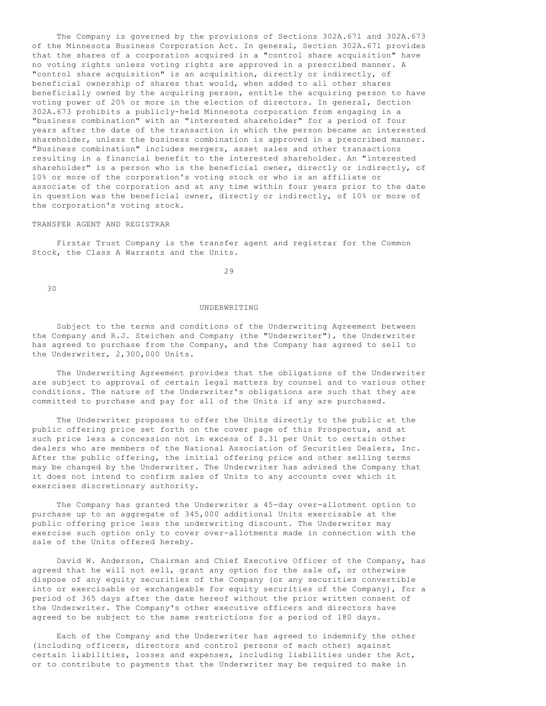The Company is governed by the provisions of Sections 302A.671 and 302A.673 of the Minnesota Business Corporation Act. In general, Section 302A.671 provides that the shares of a corporation acquired in a "control share acquisition" have no voting rights unless voting rights are approved in a prescribed manner. A "control share acquisition" is an acquisition, directly or indirectly, of beneficial ownership of shares that would, when added to all other shares beneficially owned by the acquiring person, entitle the acquiring person to have voting power of 20% or more in the election of directors. In general, Section 302A.673 prohibits a publicly-held Minnesota corporation from engaging in a "business combination" with an "interested shareholder" for a period of four years after the date of the transaction in which the person became an interested shareholder, unless the business combination is approved in a prescribed manner. "Business combination" includes mergers, asset sales and other transactions resulting in a financial benefit to the interested shareholder. An "interested shareholder" is a person who is the beneficial owner, directly or indirectly, of 10% or more of the corporation's voting stock or who is an affiliate or associate of the corporation and at any time within four years prior to the date in question was the beneficial owner, directly or indirectly, of 10% or more of the corporation's voting stock.

# TRANSFER AGENT AND REGISTRAR

 Firstar Trust Company is the transfer agent and registrar for the Common Stock, the Class A Warrants and the Units.

29

30

#### UNDERWRITING

 Subject to the terms and conditions of the Underwriting Agreement between the Company and R.J. Steichen and Company (the "Underwriter"), the Underwriter has agreed to purchase from the Company, and the Company has agreed to sell to the Underwriter, 2,300,000 Units.

 The Underwriting Agreement provides that the obligations of the Underwriter are subject to approval of certain legal matters by counsel and to various other conditions. The nature of the Underwriter's obligations are such that they are committed to purchase and pay for all of the Units if any are purchased.

 The Underwriter proposes to offer the Units directly to the public at the public offering price set forth on the cover page of this Prospectus, and at such price less a concession not in excess of \$.31 per Unit to certain other dealers who are members of the National Association of Securities Dealers, Inc. After the public offering, the initial offering price and other selling terms may be changed by the Underwriter. The Underwriter has advised the Company that it does not intend to confirm sales of Units to any accounts over which it exercises discretionary authority.

 The Company has granted the Underwriter a 45-day over-allotment option to purchase up to an aggregate of 345,000 additional Units exercisable at the public offering price less the underwriting discount. The Underwriter may exercise such option only to cover over-allotments made in connection with the sale of the Units offered hereby.

 David W. Anderson, Chairman and Chief Executive Officer of the Company, has agreed that he will not sell, grant any option for the sale of, or otherwise dispose of any equity securities of the Company (or any securities convertible into or exercisable or exchangeable for equity securities of the Company), for a period of 365 days after the date hereof without the prior written consent of the Underwriter. The Company's other executive officers and directors have agreed to be subject to the same restrictions for a period of 180 days.

 Each of the Company and the Underwriter has agreed to indemnify the other (including officers, directors and control persons of each other) against certain liabilities, losses and expenses, including liabilities under the Act, or to contribute to payments that the Underwriter may be required to make in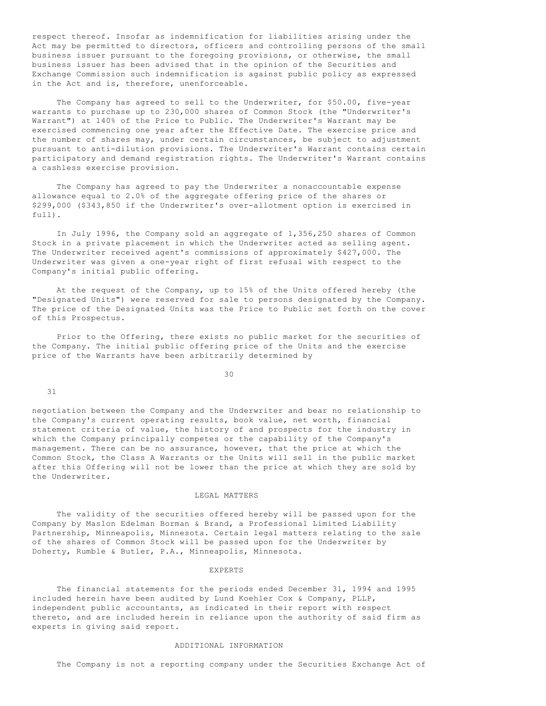respect thereof. Insofar as indemnification for liabilities arising under the Act may be permitted to directors, officers and controlling persons of the small business issuer pursuant to the foregoing provisions, or otherwise, the small business issuer has been advised that in the opinion of the Securities and Exchange Commission such indemnification is against public policy as expressed in the Act and is, therefore, unenforceable.

 The Company has agreed to sell to the Underwriter, for \$50.00, five-year warrants to purchase up to 230,000 shares of Common Stock (the "Underwriter's Warrant") at 140% of the Price to Public. The Underwriter's Warrant may be exercised commencing one year after the Effective Date. The exercise price and the number of shares may, under certain circumstances, be subject to adjustment pursuant to anti-dilution provisions. The Underwriter's Warrant contains certain participatory and demand registration rights. The Underwriter's Warrant contains a cashless exercise provision.

 The Company has agreed to pay the Underwriter a nonaccountable expense allowance equal to 2.0% of the aggregate offering price of the shares or \$299,000 (\$343,850 if the Underwriter's over-allotment option is exercised in full).

 In July 1996, the Company sold an aggregate of 1,356,250 shares of Common Stock in a private placement in which the Underwriter acted as selling agent. The Underwriter received agent's commissions of approximately \$427,000. The Underwriter was given a one-year right of first refusal with respect to the Company's initial public offering.

 At the request of the Company, up to 15% of the Units offered hereby (the "Designated Units") were reserved for sale to persons designated by the Company. The price of the Designated Units was the Price to Public set forth on the cover of this Prospectus.

 Prior to the Offering, there exists no public market for the securities of the Company. The initial public offering price of the Units and the exercise price of the Warrants have been arbitrarily determined by

30

31

negotiation between the Company and the Underwriter and bear no relationship to the Company's current operating results, book value, net worth, financial statement criteria of value, the history of and prospects for the industry in which the Company principally competes or the capability of the Company's management. There can be no assurance, however, that the price at which the Common Stock, the Class A Warrants or the Units will sell in the public market after this Offering will not be lower than the price at which they are sold by the Underwriter.

#### LEGAL MATTERS

 The validity of the securities offered hereby will be passed upon for the Company by Maslon Edelman Borman & Brand, a Professional Limited Liability Partnership, Minneapolis, Minnesota. Certain legal matters relating to the sale of the shares of Common Stock will be passed upon for the Underwriter by Doherty, Rumble & Butler, P.A., Minneapolis, Minnesota.

EXPERTS

 The financial statements for the periods ended December 31, 1994 and 1995 included herein have been audited by Lund Koehler Cox & Company, PLLP, independent public accountants, as indicated in their report with respect thereto, and are included herein in reliance upon the authority of said firm as experts in giving said report.

#### ADDITIONAL INFORMATION

The Company is not a reporting company under the Securities Exchange Act of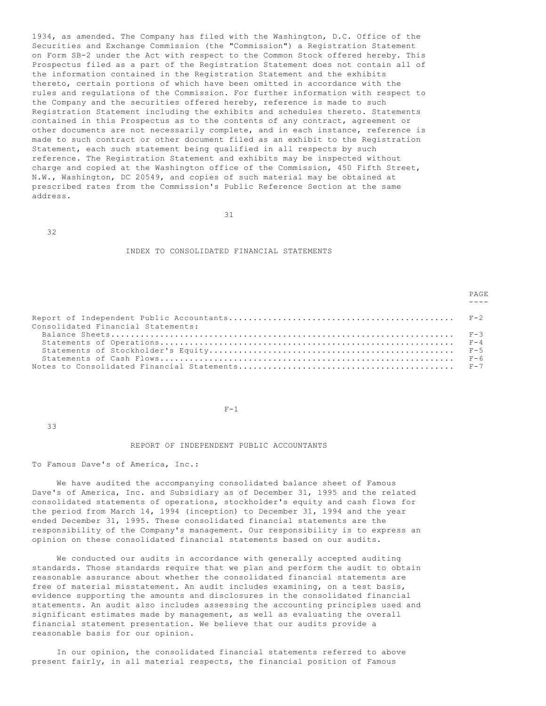1934, as amended. The Company has filed with the Washington, D.C. Office of the Securities and Exchange Commission (the "Commission") a Registration Statement on Form SB-2 under the Act with respect to the Common Stock offered hereby. This Prospectus filed as a part of the Registration Statement does not contain all of the information contained in the Registration Statement and the exhibits thereto, certain portions of which have been omitted in accordance with the rules and regulations of the Commission. For further information with respect to the Company and the securities offered hereby, reference is made to such Registration Statement including the exhibits and schedules thereto. Statements contained in this Prospectus as to the contents of any contract, agreement or other documents are not necessarily complete, and in each instance, reference is made to such contract or other document filed as an exhibit to the Registration Statement, each such statement being qualified in all respects by such reference. The Registration Statement and exhibits may be inspected without charge and copied at the Washington office of the Commission, 450 Fifth Street, N.W., Washington, DC 20549, and copies of such material may be obtained at prescribed rates from the Commission's Public Reference Section at the same address.

31

32

#### INDEX TO CONSOLIDATED FINANCIAL STATEMENTS

PAGE **PAGE** 

| Consolidated Financial Statements: |  |
|------------------------------------|--|
|                                    |  |
|                                    |  |
|                                    |  |

 $F-1$ 

33

# REPORT OF INDEPENDENT PUBLIC ACCOUNTANTS

To Famous Dave's of America, Inc.:

 We have audited the accompanying consolidated balance sheet of Famous Dave's of America, Inc. and Subsidiary as of December 31, 1995 and the related consolidated statements of operations, stockholder's equity and cash flows for the period from March 14, 1994 (inception) to December 31, 1994 and the year ended December 31, 1995. These consolidated financial statements are the responsibility of the Company's management. Our responsibility is to express an opinion on these consolidated financial statements based on our audits.

 We conducted our audits in accordance with generally accepted auditing standards. Those standards require that we plan and perform the audit to obtain reasonable assurance about whether the consolidated financial statements are free of material misstatement. An audit includes examining, on a test basis, evidence supporting the amounts and disclosures in the consolidated financial statements. An audit also includes assessing the accounting principles used and significant estimates made by management, as well as evaluating the overall financial statement presentation. We believe that our audits provide a reasonable basis for our opinion.

 In our opinion, the consolidated financial statements referred to above present fairly, in all material respects, the financial position of Famous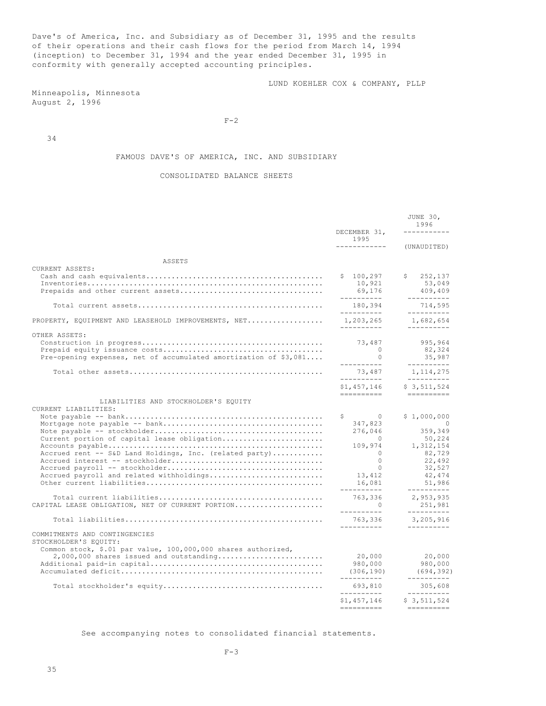Dave's of America, Inc. and Subsidiary as of December 31, 1995 and the results of their operations and their cash flows for the period from March 14, 1994 (inception) to December 31, 1994 and the year ended December 31, 1995 in conformity with generally accepted accounting principles.

LUND KOEHLER COX & COMPANY, PLLP

Minneapolis, Minnesota August 2, 1996

 $F-2$ 

34

# FAMOUS DAVE'S OF AMERICA, INC. AND SUBSIDIARY

# CONSOLIDATED BALANCE SHEETS

|                                                                                                                                                                                                                    |                                                                                                                                                     | JUNE 30,<br>1996                                                                                                                         |
|--------------------------------------------------------------------------------------------------------------------------------------------------------------------------------------------------------------------|-----------------------------------------------------------------------------------------------------------------------------------------------------|------------------------------------------------------------------------------------------------------------------------------------------|
|                                                                                                                                                                                                                    | DECEMBER 31,<br>1995<br>-------------                                                                                                               | ---------<br>(UNAUDITED)                                                                                                                 |
| ASSETS                                                                                                                                                                                                             |                                                                                                                                                     |                                                                                                                                          |
| CURRENT ASSETS:                                                                                                                                                                                                    | \$100, 297<br>10,921<br>69,176<br>__________                                                                                                        | Ŝ.<br>252,137<br>53,049<br>409,409<br>----------                                                                                         |
|                                                                                                                                                                                                                    | 180,394<br>----------                                                                                                                               | 714,595<br>----------                                                                                                                    |
| PROPERTY, EQUIPMENT AND LEASEHOLD IMPROVEMENTS, NET                                                                                                                                                                | 1,203,265<br>-----------                                                                                                                            | 1,682,654<br>-----------                                                                                                                 |
| OTHER ASSETS:<br>Pre-opening expenses, net of accumulated amortization of $$3,081$                                                                                                                                 | 73,487<br>$\bigcirc$<br>$\Omega$<br>-----------                                                                                                     | 995,964<br>82,324<br>35,987<br>----------                                                                                                |
|                                                                                                                                                                                                                    | 73,487<br>__________                                                                                                                                | 1, 114, 275<br>----------                                                                                                                |
|                                                                                                                                                                                                                    | \$1.457.146                                                                                                                                         | \$3.511.524                                                                                                                              |
| LIABILITIES AND STOCKHOLDER'S EQUITY<br>CURRENT LIABILITIES:<br>Current portion of capital lease obligation<br>Accrued rent -- S&D Land Holdings, Inc. (related party)<br>Accrued payroll and related withholdings | \$<br>$\sim$ 0<br>347,823<br>276,046<br>$\sim$ 0<br>109,974<br>$\bigcirc$<br>$\Omega$<br>$\mathbf{0}$<br>13,412<br>16,081<br>-----------<br>763,336 | \$1,000,000<br>$\bigcirc$<br>359,349<br>50,224<br>1,312,154<br>82,729<br>22,492<br>32,527<br>42,474<br>51,986<br>----------<br>2,953,935 |
| CAPITAL LEASE OBLIGATION, NET OF CURRENT PORTION                                                                                                                                                                   | $\sim$ 0<br>__________                                                                                                                              | 251,981<br>-----------                                                                                                                   |
|                                                                                                                                                                                                                    | 763,336<br>----------                                                                                                                               | 3,205,916<br>----------                                                                                                                  |
| COMMITMENTS AND CONTINGENCIES<br>STOCKHOLDER'S EOUITY:<br>Common stock, \$.01 par value, 100,000,000 shares authorized,<br>$2,000,000$ shares issued and outstanding                                               | 20,000<br>980,000<br>(306, 190)<br>__________<br>693,810<br>__________<br>\$1,457,146<br>==========                                                 | 20,000<br>980,000<br>(694, 392)<br>-----------<br>305,608<br>$- - - - - - - - - -$<br>\$3,511,524                                        |

See accompanying notes to consolidated financial statements.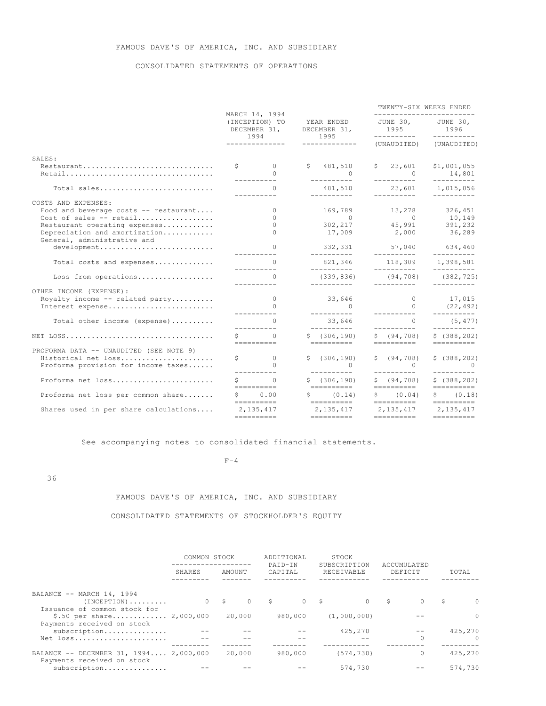# FAMOUS DAVE'S OF AMERICA, INC. AND SUBSIDIARY

# CONSOLIDATED STATEMENTS OF OPERATIONS

|                                                              | TWENTY-SIX WEEKS ENDED<br>MARCH 14, 1994<br>------------------------- |                                             |                                                            |                                     |                                        |  |                                   |
|--------------------------------------------------------------|-----------------------------------------------------------------------|---------------------------------------------|------------------------------------------------------------|-------------------------------------|----------------------------------------|--|-----------------------------------|
|                                                              | (INCEPTION) TO                                                        |                                             | YEAR ENDED<br>DECEMBER 31,<br>DECEMBER 31,<br>1994<br>1995 |                                     | JUNE 30, JUNE 30,<br>1995              |  | 1996                              |
|                                                              |                                                                       | ______________                              | -------------                                              |                                     | (UNAUDITED) (UNAUDITED)                |  |                                   |
| SALES:                                                       |                                                                       |                                             |                                                            |                                     |                                        |  |                                   |
| Restaurant                                                   |                                                                       | $\mathsf{S}$ 0                              |                                                            | \$481,510                           | \$23,601                               |  | \$1,001,055                       |
|                                                              |                                                                       | $\cap$<br>-----------                       |                                                            | 0                                   | $\overline{0}$<br>__________           |  | 14,801<br>----------              |
| Total sales                                                  |                                                                       | $\Omega$<br><u>__________</u>               |                                                            | 481,510<br>__________               | 23,601 1,015,856<br>___________        |  | $- - - - - - - - - -$             |
| COSTS AND EXPENSES:                                          |                                                                       |                                             |                                                            |                                     |                                        |  |                                   |
| Food and beverage costs -- restaurant                        |                                                                       | $\Omega$                                    |                                                            | 169,789                             | 13, 278 326, 451                       |  |                                   |
| Cost of sales -- retail                                      |                                                                       | $\cap$                                      |                                                            | $\overline{0}$                      | $\overline{0}$                         |  | 10,149                            |
| Restaurant operating expenses                                |                                                                       | $\Omega$<br>$\cap$                          |                                                            |                                     | $302, 217$ $45, 991$ $391, 232$        |  |                                   |
| Depreciation and amortization<br>General, administrative and |                                                                       |                                             |                                                            | 17,009 2,000 36,289                 |                                        |  |                                   |
| development                                                  |                                                                       | $\Omega$                                    |                                                            | 332,331                             | 57,040 634,460                         |  |                                   |
|                                                              |                                                                       | -----------                                 |                                                            | __________                          | __________                             |  | $- - - - - - - - - -$             |
| Total costs and expenses                                     |                                                                       | $\cap$                                      |                                                            | 821,346                             | 118,309 1,398,581                      |  |                                   |
| Loss from operations                                         |                                                                       | <u>__________</u><br>$\Omega$               |                                                            | __________<br>(339, 836)            | __________<br>$(94, 708)$ $(382, 725)$ |  |                                   |
|                                                              |                                                                       |                                             |                                                            | __________                          | __________                             |  |                                   |
| OTHER INCOME (EXPENSE):                                      |                                                                       |                                             |                                                            |                                     |                                        |  |                                   |
| Royalty income -- related party                              |                                                                       | $\overline{0}$                              |                                                            | 33,646                              | $\overline{0}$                         |  | 17,015<br>(22,492)                |
| Interest expense                                             |                                                                       | $\Omega$                                    |                                                            | $\sim$ 0                            | $\Omega$                               |  |                                   |
|                                                              |                                                                       | <u>_________</u><br>$\cap$                  |                                                            | __________<br>33,646                | <u>__________</u><br>$\Omega$          |  | $- - - - - - - - - -$<br>(5, 477) |
| Total other income (expense)                                 |                                                                       | __________                                  |                                                            | __________                          | -----------                            |  | $- - - - - - - - - -$             |
|                                                              |                                                                       | $\cap$                                      |                                                            | \$(306, 190)                        | \$ (94, 708)                           |  | \$(388, 202)                      |
|                                                              |                                                                       |                                             |                                                            | ==========                          | ==========                             |  |                                   |
| PROFORMA DATA -- UNAUDITED (SEE NOTE 9)                      |                                                                       |                                             |                                                            |                                     |                                        |  |                                   |
| Historical net loss                                          |                                                                       | $\begin{array}{ccc} \xi & 0 \\ \end{array}$ |                                                            | \$ (306, 190)                       | \$ (94, 708)                           |  | \$ (388, 202)                     |
| Proforma provision for income taxes                          |                                                                       | $\Omega$<br>-----------                     |                                                            | $- - - - - - - - -$                 | $\sim$ 0<br><u>_________</u> _         |  | $\sim$ 0<br>-----------           |
| Proforma net loss                                            | $\mathsf{S}$                                                          | $\Omega$                                    |                                                            | \$(306, 190)                        | \$ (94, 708)                           |  | \$ (388, 202)                     |
|                                                              |                                                                       |                                             |                                                            |                                     | ==========                             |  |                                   |
| Proforma net loss per common share                           |                                                                       | \$0.00                                      |                                                            | $S \qquad (0.14)$                   | \$ (0.04)                              |  | \$ (0.18)                         |
|                                                              |                                                                       |                                             |                                                            |                                     |                                        |  |                                   |
| Shares used in per share calculations                        |                                                                       | 2.135.417                                   |                                                            | 2, 135, 417 2, 135, 417 2, 135, 417 |                                        |  |                                   |
|                                                              |                                                                       |                                             |                                                            | ==========                          | ==========                             |  |                                   |

See accompanying notes to consolidated financial statements.

#### $F-4$

36

# FAMOUS DAVE'S OF AMERICA, INC. AND SUBSIDIARY

# CONSOLIDATED STATEMENTS OF STOCKHOLDER'S EQUITY

|                                                                      | COMMON STOCK |                       | ADDITIONAL         | STOCK                      |                        |               |
|----------------------------------------------------------------------|--------------|-----------------------|--------------------|----------------------------|------------------------|---------------|
|                                                                      | SHARES       | AMOUNT                | PATD-TN<br>CAPITAL | SUBSCRIPTION<br>RECEIVABLE | ACCUMULATED<br>DEFICIT | TOTAL         |
|                                                                      |              |                       |                    |                            |                        |               |
| BALANCE -- MARCH 14, 1994                                            |              |                       |                    |                            |                        |               |
| $(INCEPTION)$<br>Issuance of common stock for                        |              | 0 S<br>$\overline{0}$ | S.                 | $0 \quad$ \$               | S                      | S<br>$\Omega$ |
| \$.50 per share 2,000,000<br>Payments received on stock              |              | 20,000                | 980,000            | (1,000,000)                |                        | $\Omega$      |
| subscription                                                         |              |                       |                    | 425,270                    |                        | 425,270       |
| Net loss                                                             |              |                       |                    |                            |                        | $\Omega$      |
| BALANCE -- DECEMBER 31, 1994 2,000,000<br>Payments received on stock |              | 20,000                | 980,000            | (574, 730)                 | $\Omega$               | 425,270       |
| subscription                                                         |              |                       |                    | 574,730                    |                        | 574,730       |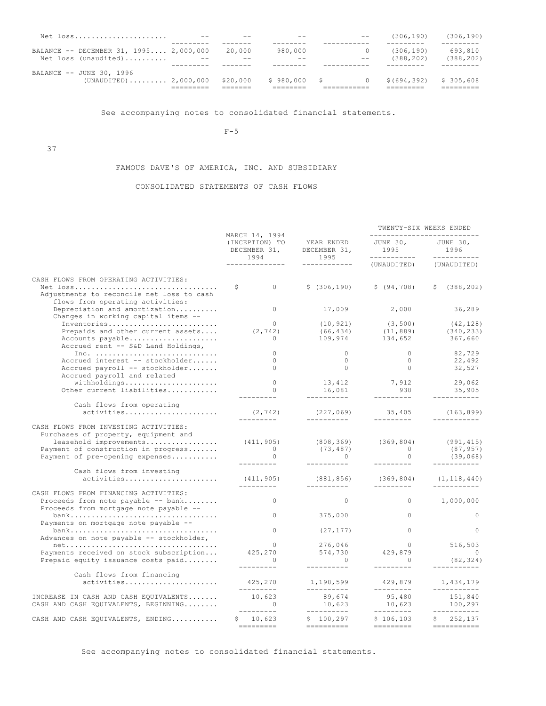| Net loss                               |       |          | $ -$         |       | (306, 190)  | (306, 190) |
|----------------------------------------|-------|----------|--------------|-------|-------------|------------|
|                                        |       |          |              |       |             |            |
| BALANCE -- DECEMBER 31, 1995 2,000,000 |       | 20,000   | 980,000      |       | (306, 190)  | 693,810    |
| Net loss (unaudited)                   | $- -$ | $- -$    | $- -$        | $- -$ | (388, 202)  | (388, 202) |
|                                        |       |          |              |       |             |            |
| BALANCE -- JUNE 30, 1996               |       |          |              |       |             |            |
| $(UNAUDITED)$ 2,000,000                |       | \$20,000 | \$980,000 \$ |       | \$(694,392) | \$305.608  |
|                                        |       |          |              |       |             |            |

See accompanying notes to consolidated financial statements.

 $F-5$ 

37

# FAMOUS DAVE'S OF AMERICA, INC. AND SUBSIDIARY

# CONSOLIDATED STATEMENTS OF CASH FLOWS

|                                                                                                                                                                                   |                                                          |                                                                                                                                                                                                                                                                                                                                                                                                                                                                                                  | TWENTY-SIX WEEKS ENDED<br>---------------------------                       |                                     |  |  |
|-----------------------------------------------------------------------------------------------------------------------------------------------------------------------------------|----------------------------------------------------------|--------------------------------------------------------------------------------------------------------------------------------------------------------------------------------------------------------------------------------------------------------------------------------------------------------------------------------------------------------------------------------------------------------------------------------------------------------------------------------------------------|-----------------------------------------------------------------------------|-------------------------------------|--|--|
|                                                                                                                                                                                   | MARCH 14, 1994<br>(INCEPTION) TO<br>DECEMBER 31,<br>1994 | YEAR ENDED<br>DECEMBER 31,<br>1995                                                                                                                                                                                                                                                                                                                                                                                                                                                               | JUNE 30, JUNE 30,<br>JUNE $\frac{1}{995}$ --<br>___________                 | 1996<br>------------                |  |  |
|                                                                                                                                                                                   | . _ _ _ _ _ _ _ _ _ _ _ _ _                              | ------------                                                                                                                                                                                                                                                                                                                                                                                                                                                                                     | (UNAUDITED)                                                                 | (UNAUDITED)                         |  |  |
| CASH FLOWS FROM OPERATING ACTIVITIES:                                                                                                                                             |                                                          |                                                                                                                                                                                                                                                                                                                                                                                                                                                                                                  |                                                                             |                                     |  |  |
| Net loss<br>Adjustments to reconcile net loss to cash<br>flows from operating activities:                                                                                         | S.<br>$\Omega$                                           | \$(306, 190)                                                                                                                                                                                                                                                                                                                                                                                                                                                                                     | \$ (94, 708)                                                                | \$(388, 202)                        |  |  |
| Depreciation and amortization<br>Changes in working capital items --                                                                                                              | $\Omega$                                                 | 17,009                                                                                                                                                                                                                                                                                                                                                                                                                                                                                           | 2,000                                                                       | 36,289                              |  |  |
| Inventories<br>Prepaids and other current assets<br>Accounts payable<br>Accrued rent -- S&D Land Holdings,                                                                        | $\Omega$<br>(2, 742)<br>0                                | (10, 921)                                                                                                                                                                                                                                                                                                                                                                                                                                                                                        | (3, 500)<br>$(66, 434)$ $(11, 889)$ $(340, 233)$<br>109,974 134,652 367,660 | (42, 128)                           |  |  |
| Inc. $\ldots \ldots \ldots \ldots \ldots \ldots \ldots \ldots \ldots$                                                                                                             | $\Omega$                                                 | $\overline{0}$                                                                                                                                                                                                                                                                                                                                                                                                                                                                                   | $\Omega$                                                                    | 82,729                              |  |  |
| Accrued interest -- stockholder<br>Accrued payroll -- stockholder<br>Accrued payroll and related                                                                                  | $\Omega$<br>$\Omega$                                     | $\overline{0}$<br>$\overline{0}$                                                                                                                                                                                                                                                                                                                                                                                                                                                                 | $\overline{0}$<br>0                                                         | 22,492<br>32,527                    |  |  |
| withholdings                                                                                                                                                                      | $\Omega$                                                 |                                                                                                                                                                                                                                                                                                                                                                                                                                                                                                  | 13,412 7,912<br>16,081 938                                                  | 29,062                              |  |  |
| Other current liabilities                                                                                                                                                         | $\Omega$<br>. _ _ _ _ _ _ _ _                            | __________                                                                                                                                                                                                                                                                                                                                                                                                                                                                                       | ----------                                                                  | 35,905<br>-----------               |  |  |
| Cash flows from operating                                                                                                                                                         |                                                          |                                                                                                                                                                                                                                                                                                                                                                                                                                                                                                  |                                                                             |                                     |  |  |
| activities                                                                                                                                                                        | (2, 742)                                                 | ___________                                                                                                                                                                                                                                                                                                                                                                                                                                                                                      | $(227, 069)$ 35,405 (163,899)<br>----------                                 |                                     |  |  |
| CASH FLOWS FROM INVESTING ACTIVITIES:<br>Purchases of property, equipment and<br>leasehold improvements<br>Payment of construction in progress<br>Payment of pre-opening expenses | (411, 905)<br>$\overline{0}$<br>$\Omega$                 | (73, 487)<br>$\sim$ 0                                                                                                                                                                                                                                                                                                                                                                                                                                                                            | $(808, 369)$ $(369, 804)$<br>$\overline{O}$<br>$\Omega$                     | (991, 415)<br>(87, 957)<br>(39,068) |  |  |
| Cash flows from investing<br>activities                                                                                                                                           | (411, 905)                                               | (881, 856)                                                                                                                                                                                                                                                                                                                                                                                                                                                                                       | (369, 804)                                                                  | (1, 118, 440)                       |  |  |
|                                                                                                                                                                                   | ----------                                               | -----------                                                                                                                                                                                                                                                                                                                                                                                                                                                                                      | ----------                                                                  |                                     |  |  |
| CASH FLOWS FROM FINANCING ACTIVITIES:<br>Proceeds from note payable -- bank<br>Proceeds from mortgage note payable --                                                             | $\Omega$                                                 | $\Omega$                                                                                                                                                                                                                                                                                                                                                                                                                                                                                         | $0 \qquad \qquad$                                                           | 1,000,000                           |  |  |
| Payments on mortgage note payable --                                                                                                                                              | $0 \qquad \qquad$                                        | 375,000                                                                                                                                                                                                                                                                                                                                                                                                                                                                                          | $\circ$                                                                     | $\circ$                             |  |  |
| Advances on note payable -- stockholder,                                                                                                                                          | $\Omega$                                                 | (27, 177)                                                                                                                                                                                                                                                                                                                                                                                                                                                                                        | $\Omega$                                                                    | $\Omega$                            |  |  |
| $net \ldots \ldots \ldots \ldots \ldots \ldots \ldots \ldots \ldots \ldots \ldots$                                                                                                | $\overline{0}$                                           | 276,046<br>574,730                                                                                                                                                                                                                                                                                                                                                                                                                                                                               | $0$<br>429,879                                                              | 516,503                             |  |  |
| Payments received on stock subscription<br>Prepaid equity issuance costs paid                                                                                                     | 425,270<br>$\sim$ 0                                      | $\overline{0}$                                                                                                                                                                                                                                                                                                                                                                                                                                                                                   | $\overline{0}$                                                              | $\sim$ 0<br>(82, 324)               |  |  |
|                                                                                                                                                                                   | ----------                                               | __________                                                                                                                                                                                                                                                                                                                                                                                                                                                                                       | ---------                                                                   | -----------                         |  |  |
| Cash flows from financing<br>activities                                                                                                                                           | 425,270<br>----------                                    | 1,198,599<br>-----------                                                                                                                                                                                                                                                                                                                                                                                                                                                                         | 429,879                                                                     | 1,434,179<br>-----------            |  |  |
| INCREASE IN CASH AND CASH EQUIVALENTS<br>CASH AND CASH EQUIVALENTS, BEGINNING                                                                                                     | 10,623<br>$\sim$ 0<br>_________                          | 89,674<br>10,623<br>10,623<br>----------                                                                                                                                                                                                                                                                                                                                                                                                                                                         | ----------<br>95,480<br>10,623<br>----------                                | 151,840<br>100,297<br>------------  |  |  |
| CASH AND CASH EQUIVALENTS, ENDING                                                                                                                                                 | \$10,623                                                 | \$100, 297<br>$\qquad \qquad \doteq\qquad \qquad \doteq\qquad \qquad \doteq\qquad \qquad \doteq\qquad \qquad \qquad \doteq\qquad \qquad \qquad \doteq\qquad \qquad \qquad \qquad \doteq\qquad \qquad \qquad \qquad \doteq\qquad \qquad \qquad \qquad \qquad \doteq\qquad \qquad \qquad \qquad \qquad \doteq\qquad \qquad \qquad \qquad \doteq\qquad \qquad \qquad \qquad \doteq\qquad \qquad \qquad \qquad \qquad \doteq\qquad \qquad \qquad \qquad \qquad \doteq\qquad \qquad \qquad \qquad \d$ | \$106, 103                                                                  | \$252,137                           |  |  |
|                                                                                                                                                                                   |                                                          |                                                                                                                                                                                                                                                                                                                                                                                                                                                                                                  |                                                                             |                                     |  |  |

See accompanying notes to consolidated financial statements.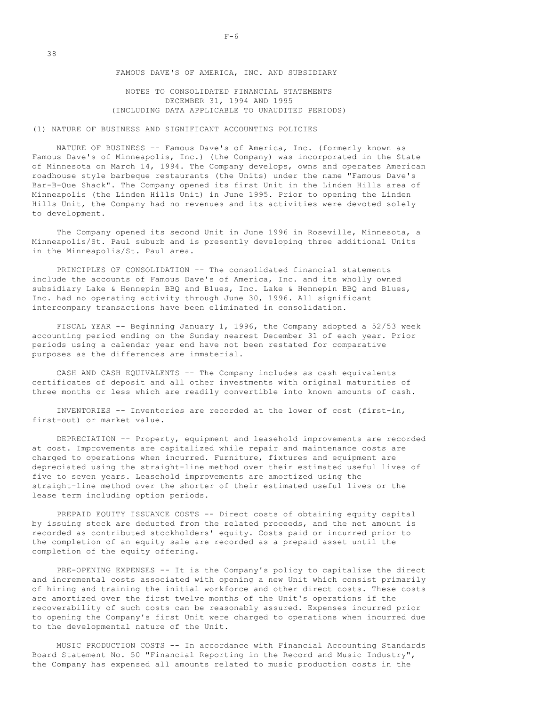# NOTES TO CONSOLIDATED FINANCIAL STATEMENTS DECEMBER 31, 1994 AND 1995 (INCLUDING DATA APPLICABLE TO UNAUDITED PERIODS)

# (1) NATURE OF BUSINESS AND SIGNIFICANT ACCOUNTING POLICIES

 NATURE OF BUSINESS -- Famous Dave's of America, Inc. (formerly known as Famous Dave's of Minneapolis, Inc.) (the Company) was incorporated in the State of Minnesota on March 14, 1994. The Company develops, owns and operates American roadhouse style barbeque restaurants (the Units) under the name "Famous Dave's Bar-B-Que Shack". The Company opened its first Unit in the Linden Hills area of Minneapolis (the Linden Hills Unit) in June 1995. Prior to opening the Linden Hills Unit, the Company had no revenues and its activities were devoted solely to development.

 The Company opened its second Unit in June 1996 in Roseville, Minnesota, a Minneapolis/St. Paul suburb and is presently developing three additional Units in the Minneapolis/St. Paul area.

 PRINCIPLES OF CONSOLIDATION -- The consolidated financial statements include the accounts of Famous Dave's of America, Inc. and its wholly owned subsidiary Lake & Hennepin BBQ and Blues, Inc. Lake & Hennepin BBQ and Blues, Inc. had no operating activity through June 30, 1996. All significant intercompany transactions have been eliminated in consolidation.

 FISCAL YEAR -- Beginning January 1, 1996, the Company adopted a 52/53 week accounting period ending on the Sunday nearest December 31 of each year. Prior periods using a calendar year end have not been restated for comparative purposes as the differences are immaterial.

 CASH AND CASH EQUIVALENTS -- The Company includes as cash equivalents certificates of deposit and all other investments with original maturities of three months or less which are readily convertible into known amounts of cash.

 INVENTORIES -- Inventories are recorded at the lower of cost (first-in, first-out) or market value.

 DEPRECIATION -- Property, equipment and leasehold improvements are recorded at cost. Improvements are capitalized while repair and maintenance costs are charged to operations when incurred. Furniture, fixtures and equipment are depreciated using the straight-line method over their estimated useful lives of five to seven years. Leasehold improvements are amortized using the straight-line method over the shorter of their estimated useful lives or the lease term including option periods.

 PREPAID EQUITY ISSUANCE COSTS -- Direct costs of obtaining equity capital by issuing stock are deducted from the related proceeds, and the net amount is recorded as contributed stockholders' equity. Costs paid or incurred prior to the completion of an equity sale are recorded as a prepaid asset until the completion of the equity offering.

 PRE-OPENING EXPENSES -- It is the Company's policy to capitalize the direct and incremental costs associated with opening a new Unit which consist primarily of hiring and training the initial workforce and other direct costs. These costs are amortized over the first twelve months of the Unit's operations if the recoverability of such costs can be reasonably assured. Expenses incurred prior to opening the Company's first Unit were charged to operations when incurred due to the developmental nature of the Unit.

 MUSIC PRODUCTION COSTS -- In accordance with Financial Accounting Standards Board Statement No. 50 "Financial Reporting in the Record and Music Industry", the Company has expensed all amounts related to music production costs in the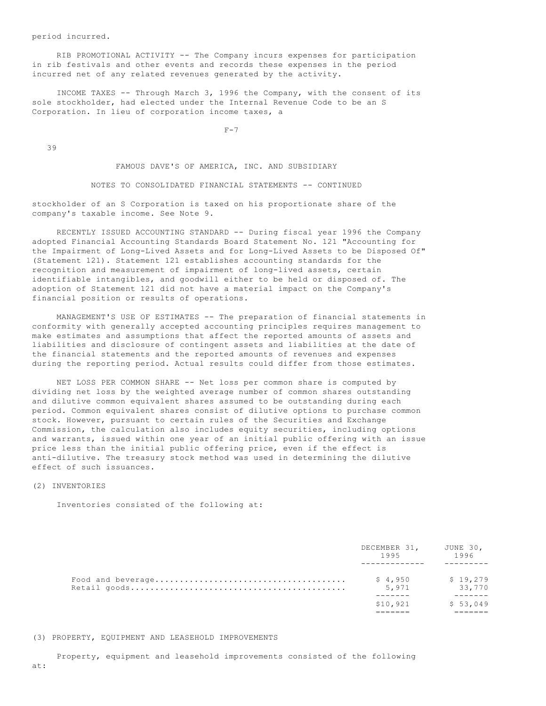period incurred.

 RIB PROMOTIONAL ACTIVITY -- The Company incurs expenses for participation in rib festivals and other events and records these expenses in the period incurred net of any related revenues generated by the activity.

 INCOME TAXES -- Through March 3, 1996 the Company, with the consent of its sole stockholder, had elected under the Internal Revenue Code to be an S Corporation. In lieu of corporation income taxes, a

 $F-7$ 

39

FAMOUS DAVE'S OF AMERICA, INC. AND SUBSIDIARY

NOTES TO CONSOLIDATED FINANCIAL STATEMENTS -- CONTINUED

stockholder of an S Corporation is taxed on his proportionate share of the company's taxable income. See Note 9.

 RECENTLY ISSUED ACCOUNTING STANDARD -- During fiscal year 1996 the Company adopted Financial Accounting Standards Board Statement No. 121 "Accounting for the Impairment of Long-Lived Assets and for Long-Lived Assets to be Disposed Of" (Statement 121). Statement 121 establishes accounting standards for the recognition and measurement of impairment of long-lived assets, certain identifiable intangibles, and goodwill either to be held or disposed of. The adoption of Statement 121 did not have a material impact on the Company's financial position or results of operations.

 MANAGEMENT'S USE OF ESTIMATES -- The preparation of financial statements in conformity with generally accepted accounting principles requires management to make estimates and assumptions that affect the reported amounts of assets and liabilities and disclosure of contingent assets and liabilities at the date of the financial statements and the reported amounts of revenues and expenses during the reporting period. Actual results could differ from those estimates.

 NET LOSS PER COMMON SHARE -- Net loss per common share is computed by dividing net loss by the weighted average number of common shares outstanding and dilutive common equivalent shares assumed to be outstanding during each period. Common equivalent shares consist of dilutive options to purchase common stock. However, pursuant to certain rules of the Securities and Exchange Commission, the calculation also includes equity securities, including options and warrants, issued within one year of an initial public offering with an issue price less than the initial public offering price, even if the effect is anti-dilutive. The treasury stock method was used in determining the dilutive effect of such issuances.

# (2) INVENTORIES

Inventories consisted of the following at:

| DECEMBER 31, JUNE 30,<br>1995 | 1996               |
|-------------------------------|--------------------|
| \$4,950<br>5,971              | \$19.279<br>33,770 |
| \$10,921                      | \$53,049           |

#### (3) PROPERTY, EQUIPMENT AND LEASEHOLD IMPROVEMENTS

Property, equipment and leasehold improvements consisted of the following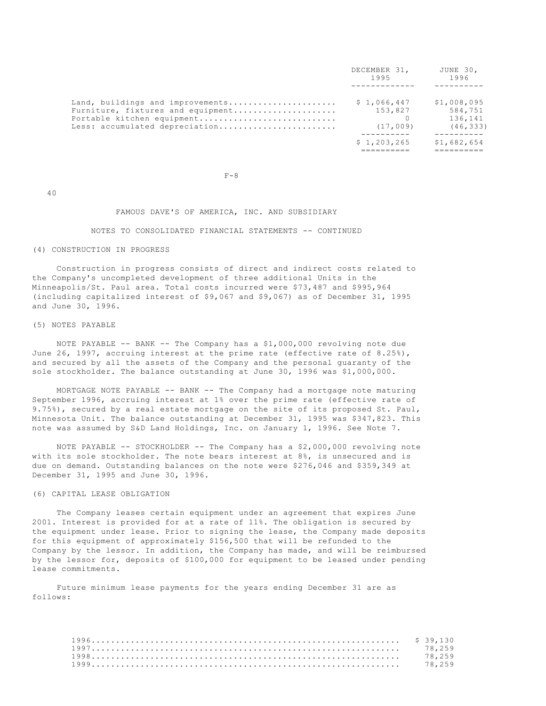|                                                                                                                                       | DECEMBER 31,<br>1995               | JUNE 30,<br>1996                               |
|---------------------------------------------------------------------------------------------------------------------------------------|------------------------------------|------------------------------------------------|
| Land, buildings and improvements<br>Furniture, fixtures and equipment<br>Portable kitchen equipment<br>Less: accumulated depreciation | \$1,066,447<br>153,827<br>(17,009) | \$1,008,095<br>584,751<br>136,141<br>(46, 333) |
|                                                                                                                                       | \$1,203,265                        | \$1,682,654                                    |

 $F-8$ 

40

# FAMOUS DAVE'S OF AMERICA, INC. AND SUBSIDIARY

#### NOTES TO CONSOLIDATED FINANCIAL STATEMENTS -- CONTINUED

# (4) CONSTRUCTION IN PROGRESS

 Construction in progress consists of direct and indirect costs related to the Company's uncompleted development of three additional Units in the Minneapolis/St. Paul area. Total costs incurred were \$73,487 and \$995,964 (including capitalized interest of \$9,067 and \$9,067) as of December 31, 1995 and June 30, 1996.

#### (5) NOTES PAYABLE

 NOTE PAYABLE -- BANK -- The Company has a \$1,000,000 revolving note due June 26, 1997, accruing interest at the prime rate (effective rate of 8.25%), and secured by all the assets of the Company and the personal guaranty of the sole stockholder. The balance outstanding at June 30, 1996 was \$1,000,000.

 MORTGAGE NOTE PAYABLE -- BANK -- The Company had a mortgage note maturing September 1996, accruing interest at 1% over the prime rate (effective rate of 9.75%), secured by a real estate mortgage on the site of its proposed St. Paul, Minnesota Unit. The balance outstanding at December 31, 1995 was \$347,823. This note was assumed by S&D Land Holdings, Inc. on January 1, 1996. See Note 7.

 NOTE PAYABLE -- STOCKHOLDER -- The Company has a \$2,000,000 revolving note with its sole stockholder. The note bears interest at 8%, is unsecured and is due on demand. Outstanding balances on the note were \$276,046 and \$359,349 at December 31, 1995 and June 30, 1996.

# (6) CAPITAL LEASE OBLIGATION

 The Company leases certain equipment under an agreement that expires June 2001. Interest is provided for at a rate of 11%. The obligation is secured by the equipment under lease. Prior to signing the lease, the Company made deposits for this equipment of approximately \$156,500 that will be refunded to the Company by the lessor. In addition, the Company has made, and will be reimbursed by the lessor for, deposits of \$100,000 for equipment to be leased under pending lease commitments.

 Future minimum lease payments for the years ending December 31 are as follows:

|  | 78.259 |
|--|--------|
|  | 78.259 |
|  | 78.259 |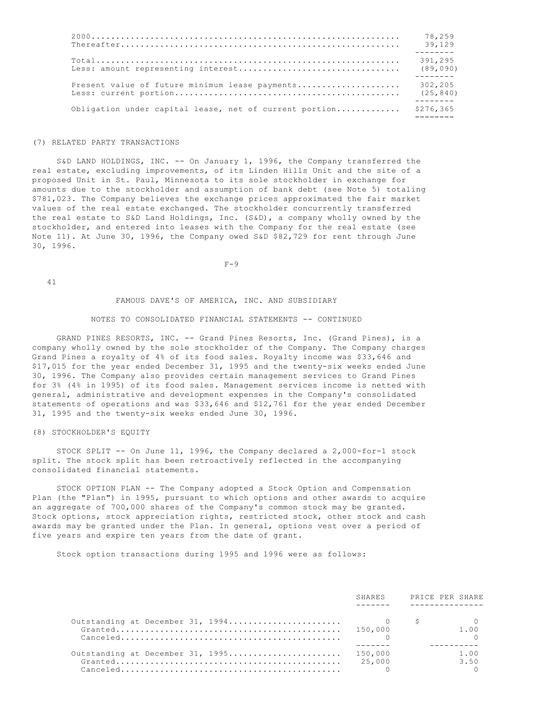|                                                        | 78,259    |
|--------------------------------------------------------|-----------|
|                                                        | 39.129    |
|                                                        | 391,295   |
|                                                        | (89,090)  |
| Present value of future minimum lease payments         | 302,205   |
|                                                        | (25, 840) |
| Obligation under capital lease, net of current portion | \$276,365 |

#### (7) RELATED PARTY TRANSACTIONS

 S&D LAND HOLDINGS, INC. -- On January 1, 1996, the Company transferred the real estate, excluding improvements, of its Linden Hills Unit and the site of a proposed Unit in St. Paul, Minnesota to its sole stockholder in exchange for amounts due to the stockholder and assumption of bank debt (see Note 5) totaling \$781,023. The Company believes the exchange prices approximated the fair market values of the real estate exchanged. The stockholder concurrently transferred the real estate to S&D Land Holdings, Inc. (S&D), a company wholly owned by the stockholder, and entered into leases with the Company for the real estate (see Note 11). At June 30, 1996, the Company owed S&D \$82,729 for rent through June 30, 1996.

 $F-9$ 

41

## FAMOUS DAVE'S OF AMERICA, INC. AND SUBSIDIARY

## NOTES TO CONSOLIDATED FINANCIAL STATEMENTS -- CONTINUED

 GRAND PINES RESORTS, INC. -- Grand Pines Resorts, Inc. (Grand Pines), is a company wholly owned by the sole stockholder of the Company. The Company charges Grand Pines a royalty of 4% of its food sales. Royalty income was \$33,646 and \$17,015 for the year ended December 31, 1995 and the twenty-six weeks ended June 30, 1996. The Company also provides certain management services to Grand Pines for 3% (4% in 1995) of its food sales. Management services income is netted with general, administrative and development expenses in the Company's consolidated statements of operations and was \$33,646 and \$12,761 for the year ended December 31, 1995 and the twenty-six weeks ended June 30, 1996.

# (8) STOCKHOLDER'S EQUITY

 STOCK SPLIT -- On June 11, 1996, the Company declared a 2,000-for-1 stock split. The stock split has been retroactively reflected in the accompanying consolidated financial statements.

 STOCK OPTION PLAN -- The Company adopted a Stock Option and Compensation Plan (the "Plan") in 1995, pursuant to which options and other awards to acquire an aggregate of 700,000 shares of the Company's common stock may be granted. Stock options, stock appreciation rights, restricted stock, other stock and cash awards may be granted under the Plan. In general, options vest over a period of five years and expire ten years from the date of grant.

Stock option transactions during 1995 and 1996 were as follows:

|                                          | SHARES | PRICE PER SHARE |
|------------------------------------------|--------|-----------------|
|                                          |        |                 |
|                                          |        |                 |
|                                          |        | 1.00            |
|                                          |        |                 |
|                                          |        |                 |
| Outstanding at December 31, 1995 150,000 |        | 1.00            |
|                                          | 25,000 | 3.50            |
|                                          |        |                 |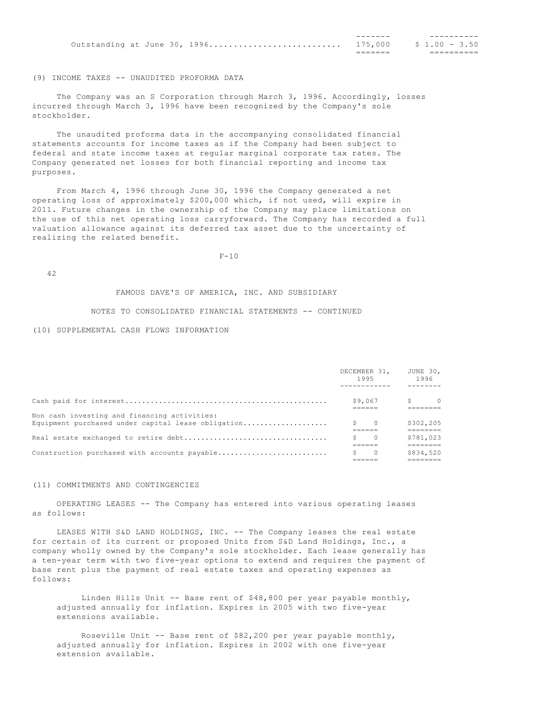|  | Outstanding at June 30, 1996 175,000 \$ 1.00 - 3.50 |  |  |  |
|--|-----------------------------------------------------|--|--|--|
|  |                                                     |  |  |  |

## (9) INCOME TAXES -- UNAUDITED PROFORMA DATA

 The Company was an S Corporation through March 3, 1996. Accordingly, losses incurred through March 3, 1996 have been recognized by the Company's sole stockholder.

 The unaudited proforma data in the accompanying consolidated financial statements accounts for income taxes as if the Company had been subject to federal and state income taxes at regular marginal corporate tax rates. The Company generated net losses for both financial reporting and income tax purposes.

 From March 4, 1996 through June 30, 1996 the Company generated a net operating loss of approximately \$200,000 which, if not used, will expire in 2011. Future changes in the ownership of the Company may place limitations on the use of this net operating loss carryforward. The Company has recorded a full valuation allowance against its deferred tax asset due to the uncertainty of realizing the related benefit.

 $F-10$ 

42

# FAMOUS DAVE'S OF AMERICA, INC. AND SUBSIDIARY

# NOTES TO CONSOLIDATED FINANCIAL STATEMENTS -- CONTINUED

# (10) SUPPLEMENTAL CASH FLOWS INFORMATION

|                                                                                                    | DECEMBER 31, JUNE 30,<br>1995 |          | 1996          |                |
|----------------------------------------------------------------------------------------------------|-------------------------------|----------|---------------|----------------|
|                                                                                                    |                               |          |               |                |
|                                                                                                    |                               | \$9.067  | $\mathcal{S}$ | $\overline{0}$ |
| Non cash investing and financing activities:<br>Equipment purchased under capital lease obligation | $S \qquad 0$                  |          | --------      | \$302,205      |
|                                                                                                    | S                             | $\Omega$ |               | \$781,023      |
| Construction purchased with accounts payable                                                       | S                             | $\Omega$ |               | \$834,520<br>. |

#### (11) COMMITMENTS AND CONTINGENCIES

 OPERATING LEASES -- The Company has entered into various operating leases as follows:

 LEASES WITH S&D LAND HOLDINGS, INC. -- The Company leases the real estate for certain of its current or proposed Units from S&D Land Holdings, Inc., a company wholly owned by the Company's sole stockholder. Each lease generally has a ten-year term with two five-year options to extend and requires the payment of base rent plus the payment of real estate taxes and operating expenses as follows:

 Linden Hills Unit -- Base rent of \$48,800 per year payable monthly, adjusted annually for inflation. Expires in 2005 with two five-year extensions available.

 Roseville Unit -- Base rent of \$82,200 per year payable monthly, adjusted annually for inflation. Expires in 2002 with one five-year extension available.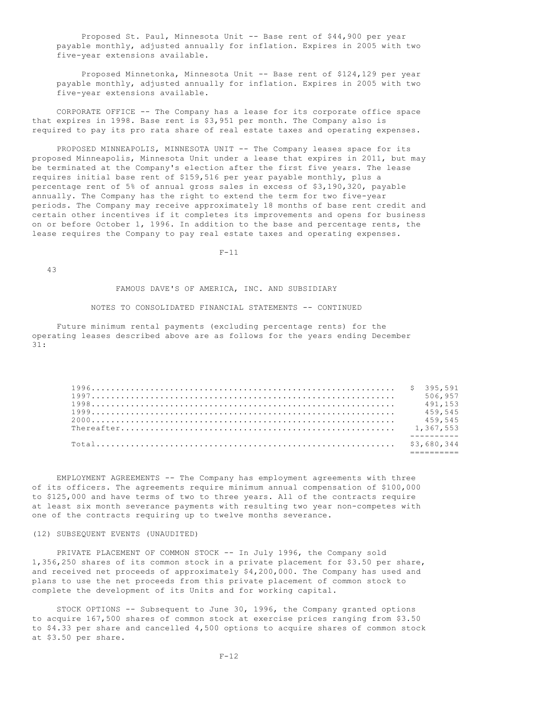Proposed St. Paul, Minnesota Unit -- Base rent of \$44,900 per year payable monthly, adjusted annually for inflation. Expires in 2005 with two five-year extensions available.

 Proposed Minnetonka, Minnesota Unit -- Base rent of \$124,129 per year payable monthly, adjusted annually for inflation. Expires in 2005 with two five-year extensions available.

 CORPORATE OFFICE -- The Company has a lease for its corporate office space that expires in 1998. Base rent is \$3,951 per month. The Company also is required to pay its pro rata share of real estate taxes and operating expenses.

PROPOSED MINNEAPOLIS, MINNESOTA UNIT -- The Company leases space for its proposed Minneapolis, Minnesota Unit under a lease that expires in 2011, but may be terminated at the Company's election after the first five years. The lease requires initial base rent of \$159,516 per year payable monthly, plus a percentage rent of 5% of annual gross sales in excess of \$3,190,320, payable annually. The Company has the right to extend the term for two five-year periods. The Company may receive approximately 18 months of base rent credit and certain other incentives if it completes its improvements and opens for business on or before October 1, 1996. In addition to the base and percentage rents, the lease requires the Company to pay real estate taxes and operating expenses.

 $F-11$ 

43

FAMOUS DAVE'S OF AMERICA, INC. AND SUBSIDIARY

#### NOTES TO CONSOLIDATED FINANCIAL STATEMENTS -- CONTINUED

 Future minimum rental payments (excluding percentage rents) for the operating leases described above are as follows for the years ending December 31:

|  | 506.957 |
|--|---------|
|  | 491.153 |
|  | 459,545 |
|  | 459,545 |
|  |         |
|  |         |
|  |         |
|  |         |

 EMPLOYMENT AGREEMENTS -- The Company has employment agreements with three of its officers. The agreements require minimum annual compensation of \$100,000 to \$125,000 and have terms of two to three years. All of the contracts require at least six month severance payments with resulting two year non-competes with one of the contracts requiring up to twelve months severance.

# (12) SUBSEQUENT EVENTS (UNAUDITED)

PRIVATE PLACEMENT OF COMMON STOCK -- In July 1996, the Company sold 1,356,250 shares of its common stock in a private placement for \$3.50 per share, and received net proceeds of approximately \$4,200,000. The Company has used and plans to use the net proceeds from this private placement of common stock to complete the development of its Units and for working capital.

 STOCK OPTIONS -- Subsequent to June 30, 1996, the Company granted options to acquire 167,500 shares of common stock at exercise prices ranging from \$3.50 to \$4.33 per share and cancelled 4,500 options to acquire shares of common stock at \$3.50 per share.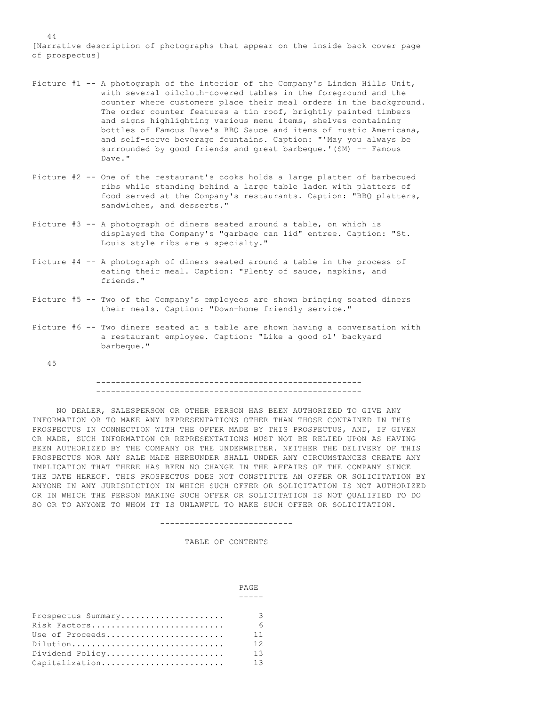[Narrative description of photographs that appear on the inside back cover page of prospectus]

- Picture #1 -- A photograph of the interior of the Company's Linden Hills Unit, with several oilcloth-covered tables in the foreground and the counter where customers place their meal orders in the background. The order counter features a tin roof, brightly painted timbers and signs highlighting various menu items, shelves containing bottles of Famous Dave's BBQ Sauce and items of rustic Americana, and self-serve beverage fountains. Caption: "'May you always be surrounded by good friends and great barbeque.'(SM) -- Famous Dave."
- Picture #2 -- One of the restaurant's cooks holds a large platter of barbecued ribs while standing behind a large table laden with platters of food served at the Company's restaurants. Caption: "BBQ platters, sandwiches, and desserts."
- Picture #3 -- A photograph of diners seated around a table, on which is displayed the Company's "garbage can lid" entree. Caption: "St. Louis style ribs are a specialty."
- Picture #4 -- A photograph of diners seated around a table in the process of eating their meal. Caption: "Plenty of sauce, napkins, and friends."
- Picture #5 -- Two of the Company's employees are shown bringing seated diners their meals. Caption: "Down-home friendly service."
- Picture #6 -- Two diners seated at a table are shown having a conversation with a restaurant employee. Caption: "Like a good ol' backyard barbeque."

#### 45

#### ------------------------------------------------------ ------------------------------------------------------

 NO DEALER, SALESPERSON OR OTHER PERSON HAS BEEN AUTHORIZED TO GIVE ANY INFORMATION OR TO MAKE ANY REPRESENTATIONS OTHER THAN THOSE CONTAINED IN THIS PROSPECTUS IN CONNECTION WITH THE OFFER MADE BY THIS PROSPECTUS, AND, IF GIVEN OR MADE, SUCH INFORMATION OR REPRESENTATIONS MUST NOT BE RELIED UPON AS HAVING BEEN AUTHORIZED BY THE COMPANY OR THE UNDERWRITER. NEITHER THE DELIVERY OF THIS PROSPECTUS NOR ANY SALE MADE HEREUNDER SHALL UNDER ANY CIRCUMSTANCES CREATE ANY IMPLICATION THAT THERE HAS BEEN NO CHANGE IN THE AFFAIRS OF THE COMPANY SINCE THE DATE HEREOF. THIS PROSPECTUS DOES NOT CONSTITUTE AN OFFER OR SOLICITATION BY ANYONE IN ANY JURISDICTION IN WHICH SUCH OFFER OR SOLICITATION IS NOT AUTHORIZED OR IN WHICH THE PERSON MAKING SUCH OFFER OR SOLICITATION IS NOT QUALIFIED TO DO SO OR TO ANYONE TO WHOM IT IS UNLAWFUL TO MAKE SUCH OFFER OR SOLICITATION.

#### ---------------------------

#### TABLE OF CONTENTS

|                    | <b>PAGE</b> |
|--------------------|-------------|
|                    |             |
|                    |             |
| Prospectus Summary | 3           |
| Risk Factors       | 6           |
| Use of Proceeds    | 11          |
| Dilution           | 12          |
| Dividend Policy    | 13          |
| Capitalization     | 13          |

44